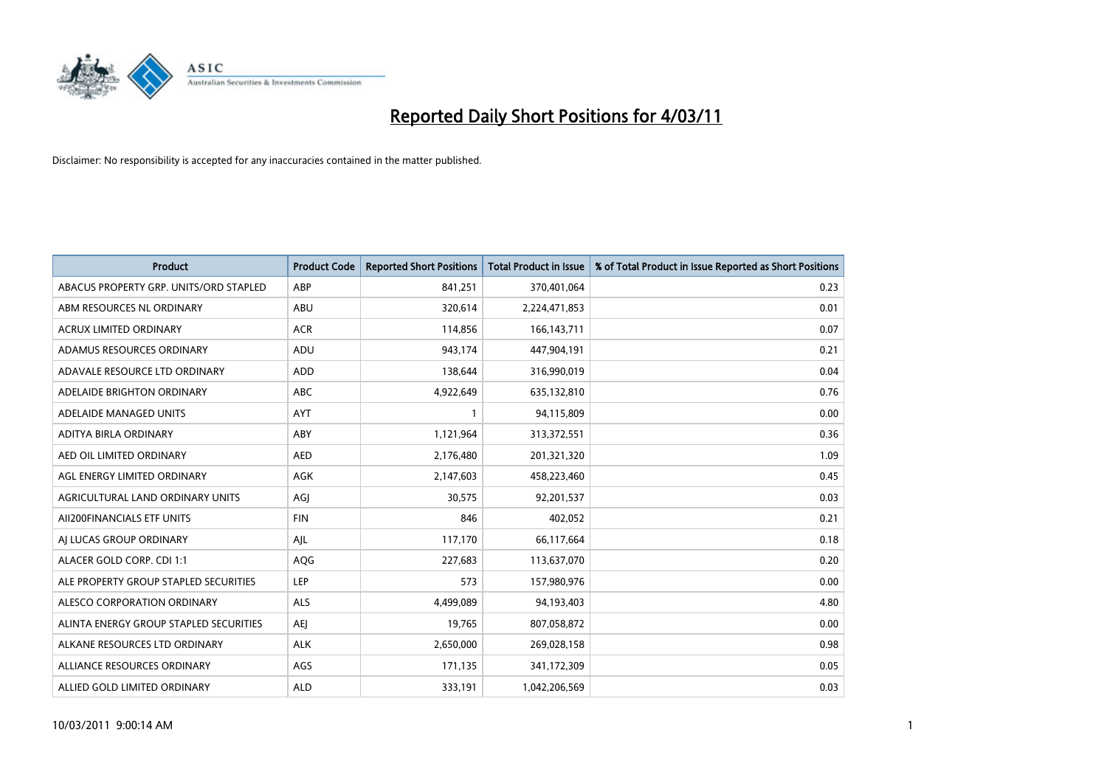

| Product                                | <b>Product Code</b> | <b>Reported Short Positions</b> | <b>Total Product in Issue</b> | % of Total Product in Issue Reported as Short Positions |
|----------------------------------------|---------------------|---------------------------------|-------------------------------|---------------------------------------------------------|
| ABACUS PROPERTY GRP. UNITS/ORD STAPLED | ABP                 | 841,251                         | 370,401,064                   | 0.23                                                    |
| ABM RESOURCES NL ORDINARY              | ABU                 | 320,614                         | 2,224,471,853                 | 0.01                                                    |
| <b>ACRUX LIMITED ORDINARY</b>          | <b>ACR</b>          | 114,856                         | 166, 143, 711                 | 0.07                                                    |
| ADAMUS RESOURCES ORDINARY              | ADU                 | 943,174                         | 447,904,191                   | 0.21                                                    |
| ADAVALE RESOURCE LTD ORDINARY          | <b>ADD</b>          | 138,644                         | 316,990,019                   | 0.04                                                    |
| ADELAIDE BRIGHTON ORDINARY             | <b>ABC</b>          | 4,922,649                       | 635,132,810                   | 0.76                                                    |
| ADELAIDE MANAGED UNITS                 | <b>AYT</b>          |                                 | 94,115,809                    | 0.00                                                    |
| ADITYA BIRLA ORDINARY                  | ABY                 | 1,121,964                       | 313,372,551                   | 0.36                                                    |
| AED OIL LIMITED ORDINARY               | <b>AED</b>          | 2,176,480                       | 201,321,320                   | 1.09                                                    |
| AGL ENERGY LIMITED ORDINARY            | AGK                 | 2,147,603                       | 458,223,460                   | 0.45                                                    |
| AGRICULTURAL LAND ORDINARY UNITS       | AGJ                 | 30,575                          | 92,201,537                    | 0.03                                                    |
| AII200FINANCIALS ETF UNITS             | <b>FIN</b>          | 846                             | 402,052                       | 0.21                                                    |
| AI LUCAS GROUP ORDINARY                | AJL                 | 117,170                         | 66,117,664                    | 0.18                                                    |
| ALACER GOLD CORP. CDI 1:1              | AQG                 | 227,683                         | 113,637,070                   | 0.20                                                    |
| ALE PROPERTY GROUP STAPLED SECURITIES  | LEP                 | 573                             | 157,980,976                   | 0.00                                                    |
| ALESCO CORPORATION ORDINARY            | <b>ALS</b>          | 4,499,089                       | 94,193,403                    | 4.80                                                    |
| ALINTA ENERGY GROUP STAPLED SECURITIES | AEJ                 | 19,765                          | 807,058,872                   | 0.00                                                    |
| ALKANE RESOURCES LTD ORDINARY          | <b>ALK</b>          | 2,650,000                       | 269,028,158                   | 0.98                                                    |
| ALLIANCE RESOURCES ORDINARY            | AGS                 | 171,135                         | 341,172,309                   | 0.05                                                    |
| ALLIED GOLD LIMITED ORDINARY           | <b>ALD</b>          | 333,191                         | 1,042,206,569                 | 0.03                                                    |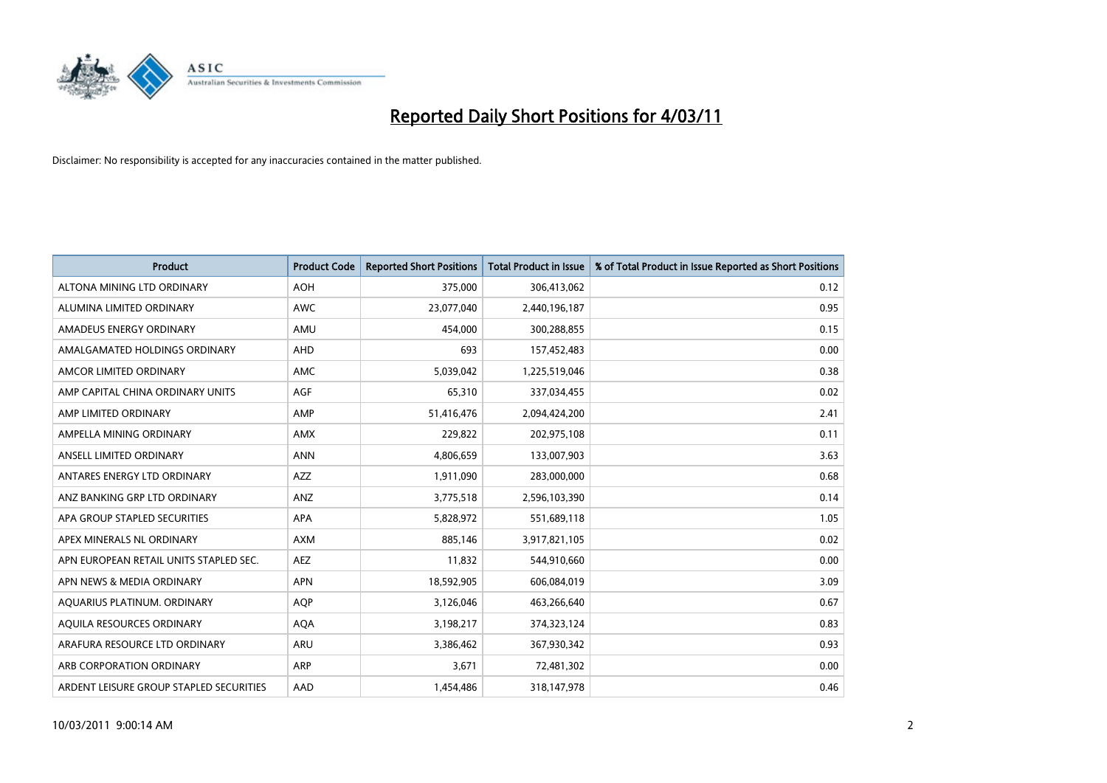

| <b>Product</b>                          | <b>Product Code</b> | <b>Reported Short Positions</b> | Total Product in Issue | % of Total Product in Issue Reported as Short Positions |
|-----------------------------------------|---------------------|---------------------------------|------------------------|---------------------------------------------------------|
| ALTONA MINING LTD ORDINARY              | <b>AOH</b>          | 375,000                         | 306,413,062            | 0.12                                                    |
| ALUMINA LIMITED ORDINARY                | <b>AWC</b>          | 23,077,040                      | 2,440,196,187          | 0.95                                                    |
| AMADEUS ENERGY ORDINARY                 | AMU                 | 454,000                         | 300,288,855            | 0.15                                                    |
| AMALGAMATED HOLDINGS ORDINARY           | <b>AHD</b>          | 693                             | 157,452,483            | 0.00                                                    |
| AMCOR LIMITED ORDINARY                  | <b>AMC</b>          | 5,039,042                       | 1,225,519,046          | 0.38                                                    |
| AMP CAPITAL CHINA ORDINARY UNITS        | AGF                 | 65,310                          | 337,034,455            | 0.02                                                    |
| AMP LIMITED ORDINARY                    | AMP                 | 51,416,476                      | 2,094,424,200          | 2.41                                                    |
| AMPELLA MINING ORDINARY                 | AMX                 | 229,822                         | 202,975,108            | 0.11                                                    |
| ANSELL LIMITED ORDINARY                 | <b>ANN</b>          | 4,806,659                       | 133,007,903            | 3.63                                                    |
| ANTARES ENERGY LTD ORDINARY             | <b>AZZ</b>          | 1,911,090                       | 283,000,000            | 0.68                                                    |
| ANZ BANKING GRP LTD ORDINARY            | ANZ                 | 3,775,518                       | 2,596,103,390          | 0.14                                                    |
| APA GROUP STAPLED SECURITIES            | <b>APA</b>          | 5,828,972                       | 551,689,118            | 1.05                                                    |
| APEX MINERALS NL ORDINARY               | <b>AXM</b>          | 885,146                         | 3,917,821,105          | 0.02                                                    |
| APN EUROPEAN RETAIL UNITS STAPLED SEC.  | <b>AEZ</b>          | 11,832                          | 544,910,660            | 0.00                                                    |
| APN NEWS & MEDIA ORDINARY               | <b>APN</b>          | 18,592,905                      | 606,084,019            | 3.09                                                    |
| AQUARIUS PLATINUM. ORDINARY             | <b>AOP</b>          | 3,126,046                       | 463,266,640            | 0.67                                                    |
| AQUILA RESOURCES ORDINARY               | <b>AQA</b>          | 3,198,217                       | 374,323,124            | 0.83                                                    |
| ARAFURA RESOURCE LTD ORDINARY           | ARU                 | 3,386,462                       | 367,930,342            | 0.93                                                    |
| ARB CORPORATION ORDINARY                | <b>ARP</b>          | 3,671                           | 72,481,302             | 0.00                                                    |
| ARDENT LEISURE GROUP STAPLED SECURITIES | AAD                 | 1.454.486                       | 318,147,978            | 0.46                                                    |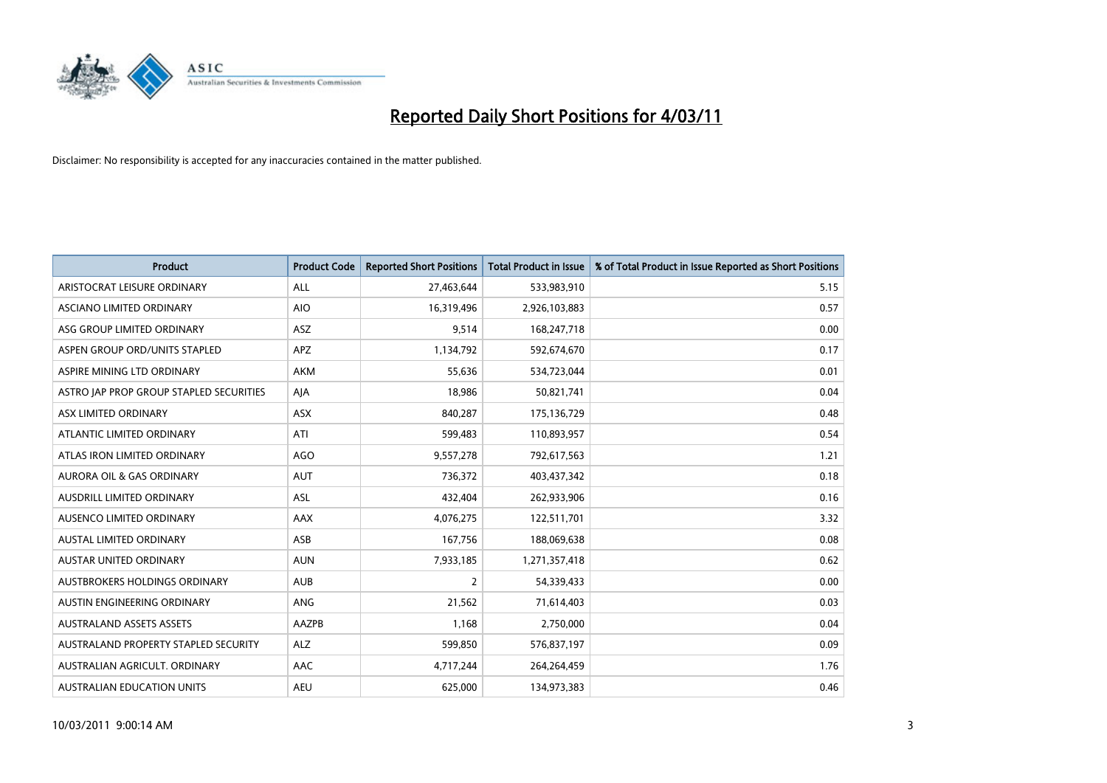

| <b>Product</b>                          | <b>Product Code</b> | <b>Reported Short Positions</b> | Total Product in Issue | % of Total Product in Issue Reported as Short Positions |
|-----------------------------------------|---------------------|---------------------------------|------------------------|---------------------------------------------------------|
| ARISTOCRAT LEISURE ORDINARY             | <b>ALL</b>          | 27,463,644                      | 533,983,910            | 5.15                                                    |
| <b>ASCIANO LIMITED ORDINARY</b>         | <b>AIO</b>          | 16,319,496                      | 2,926,103,883          | 0.57                                                    |
| ASG GROUP LIMITED ORDINARY              | ASZ                 | 9,514                           | 168,247,718            | 0.00                                                    |
| ASPEN GROUP ORD/UNITS STAPLED           | <b>APZ</b>          | 1,134,792                       | 592,674,670            | 0.17                                                    |
| ASPIRE MINING LTD ORDINARY              | <b>AKM</b>          | 55,636                          | 534,723,044            | 0.01                                                    |
| ASTRO JAP PROP GROUP STAPLED SECURITIES | AJA                 | 18,986                          | 50,821,741             | 0.04                                                    |
| ASX LIMITED ORDINARY                    | <b>ASX</b>          | 840,287                         | 175,136,729            | 0.48                                                    |
| ATLANTIC LIMITED ORDINARY               | ATI                 | 599,483                         | 110,893,957            | 0.54                                                    |
| ATLAS IRON LIMITED ORDINARY             | <b>AGO</b>          | 9,557,278                       | 792,617,563            | 1.21                                                    |
| <b>AURORA OIL &amp; GAS ORDINARY</b>    | <b>AUT</b>          | 736,372                         | 403,437,342            | 0.18                                                    |
| <b>AUSDRILL LIMITED ORDINARY</b>        | <b>ASL</b>          | 432,404                         | 262,933,906            | 0.16                                                    |
| <b>AUSENCO LIMITED ORDINARY</b>         | AAX                 | 4,076,275                       | 122,511,701            | 3.32                                                    |
| <b>AUSTAL LIMITED ORDINARY</b>          | ASB                 | 167,756                         | 188,069,638            | 0.08                                                    |
| <b>AUSTAR UNITED ORDINARY</b>           | <b>AUN</b>          | 7,933,185                       | 1,271,357,418          | 0.62                                                    |
| AUSTBROKERS HOLDINGS ORDINARY           | <b>AUB</b>          | $\overline{2}$                  | 54,339,433             | 0.00                                                    |
| AUSTIN ENGINEERING ORDINARY             | ANG                 | 21,562                          | 71,614,403             | 0.03                                                    |
| <b>AUSTRALAND ASSETS ASSETS</b>         | AAZPB               | 1,168                           | 2,750,000              | 0.04                                                    |
| AUSTRALAND PROPERTY STAPLED SECURITY    | <b>ALZ</b>          | 599,850                         | 576,837,197            | 0.09                                                    |
| AUSTRALIAN AGRICULT, ORDINARY           | <b>AAC</b>          | 4,717,244                       | 264,264,459            | 1.76                                                    |
| <b>AUSTRALIAN EDUCATION UNITS</b>       | <b>AEU</b>          | 625.000                         | 134,973,383            | 0.46                                                    |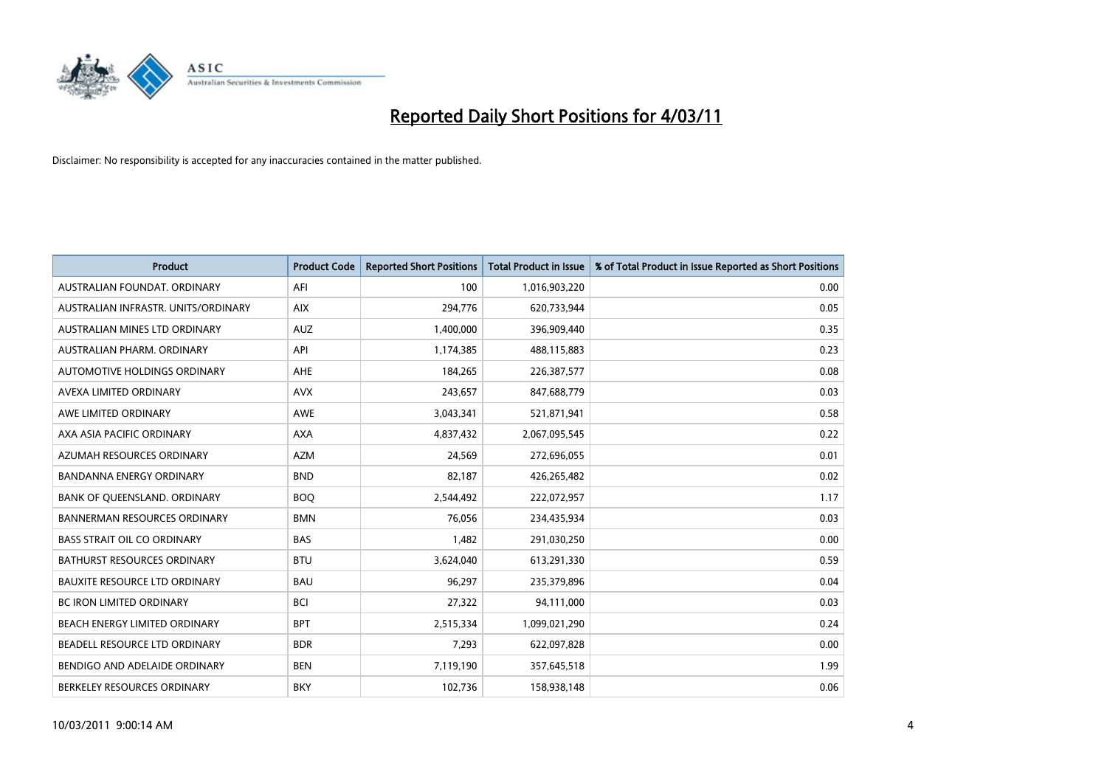

| Product                              | <b>Product Code</b> | <b>Reported Short Positions</b> | <b>Total Product in Issue</b> | % of Total Product in Issue Reported as Short Positions |
|--------------------------------------|---------------------|---------------------------------|-------------------------------|---------------------------------------------------------|
| AUSTRALIAN FOUNDAT, ORDINARY         | AFI                 | 100                             | 1,016,903,220                 | 0.00                                                    |
| AUSTRALIAN INFRASTR, UNITS/ORDINARY  | <b>AIX</b>          | 294,776                         | 620,733,944                   | 0.05                                                    |
| AUSTRALIAN MINES LTD ORDINARY        | <b>AUZ</b>          | 1,400,000                       | 396,909,440                   | 0.35                                                    |
| AUSTRALIAN PHARM. ORDINARY           | API                 | 1,174,385                       | 488,115,883                   | 0.23                                                    |
| AUTOMOTIVE HOLDINGS ORDINARY         | <b>AHE</b>          | 184,265                         | 226,387,577                   | 0.08                                                    |
| AVEXA LIMITED ORDINARY               | <b>AVX</b>          | 243,657                         | 847,688,779                   | 0.03                                                    |
| AWE LIMITED ORDINARY                 | <b>AWE</b>          | 3,043,341                       | 521,871,941                   | 0.58                                                    |
| AXA ASIA PACIFIC ORDINARY            | <b>AXA</b>          | 4,837,432                       | 2,067,095,545                 | 0.22                                                    |
| AZUMAH RESOURCES ORDINARY            | <b>AZM</b>          | 24,569                          | 272,696,055                   | 0.01                                                    |
| <b>BANDANNA ENERGY ORDINARY</b>      | <b>BND</b>          | 82,187                          | 426,265,482                   | 0.02                                                    |
| BANK OF QUEENSLAND. ORDINARY         | <b>BOQ</b>          | 2,544,492                       | 222,072,957                   | 1.17                                                    |
| <b>BANNERMAN RESOURCES ORDINARY</b>  | <b>BMN</b>          | 76,056                          | 234,435,934                   | 0.03                                                    |
| <b>BASS STRAIT OIL CO ORDINARY</b>   | <b>BAS</b>          | 1,482                           | 291,030,250                   | 0.00                                                    |
| <b>BATHURST RESOURCES ORDINARY</b>   | <b>BTU</b>          | 3,624,040                       | 613,291,330                   | 0.59                                                    |
| <b>BAUXITE RESOURCE LTD ORDINARY</b> | <b>BAU</b>          | 96,297                          | 235,379,896                   | 0.04                                                    |
| <b>BC IRON LIMITED ORDINARY</b>      | <b>BCI</b>          | 27,322                          | 94,111,000                    | 0.03                                                    |
| <b>BEACH ENERGY LIMITED ORDINARY</b> | <b>BPT</b>          | 2,515,334                       | 1,099,021,290                 | 0.24                                                    |
| BEADELL RESOURCE LTD ORDINARY        | <b>BDR</b>          | 7,293                           | 622,097,828                   | 0.00                                                    |
| BENDIGO AND ADELAIDE ORDINARY        | <b>BEN</b>          | 7,119,190                       | 357,645,518                   | 1.99                                                    |
| BERKELEY RESOURCES ORDINARY          | <b>BKY</b>          | 102,736                         | 158,938,148                   | 0.06                                                    |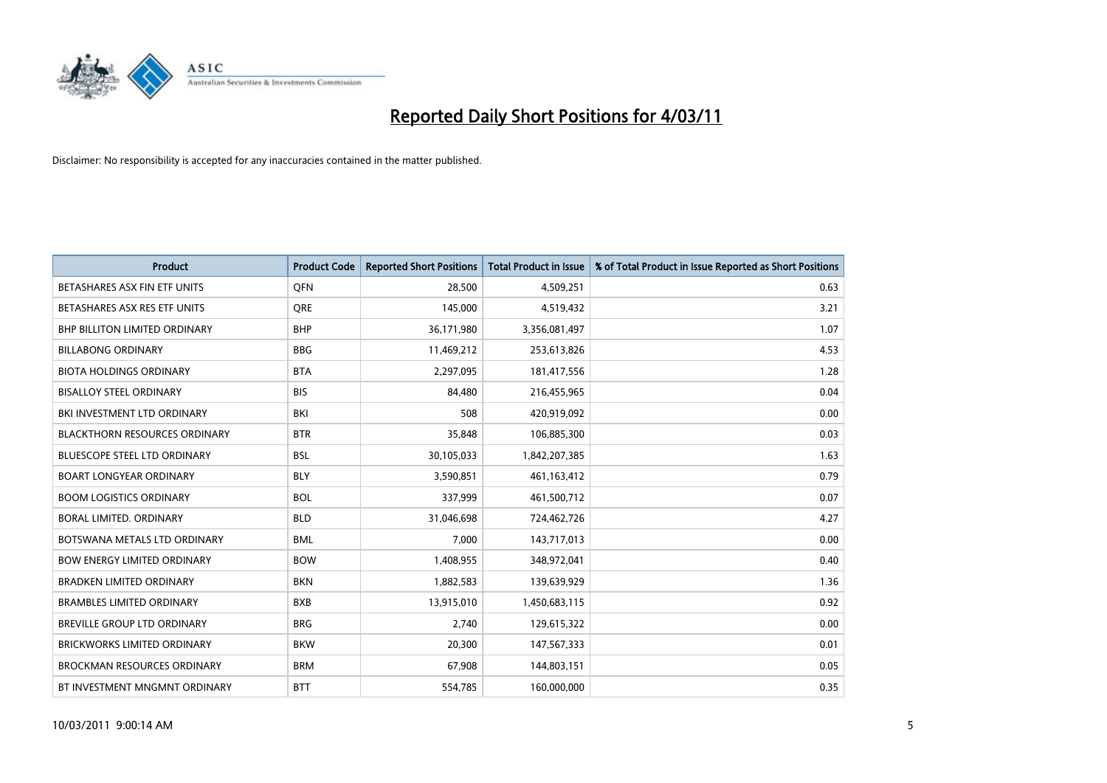

| Product                              | <b>Product Code</b> | <b>Reported Short Positions</b> | <b>Total Product in Issue</b> | % of Total Product in Issue Reported as Short Positions |
|--------------------------------------|---------------------|---------------------------------|-------------------------------|---------------------------------------------------------|
| BETASHARES ASX FIN ETF UNITS         | <b>OFN</b>          | 28,500                          | 4,509,251                     | 0.63                                                    |
| BETASHARES ASX RES ETF UNITS         | <b>ORE</b>          | 145,000                         | 4,519,432                     | 3.21                                                    |
| <b>BHP BILLITON LIMITED ORDINARY</b> | <b>BHP</b>          | 36,171,980                      | 3,356,081,497                 | 1.07                                                    |
| <b>BILLABONG ORDINARY</b>            | <b>BBG</b>          | 11,469,212                      | 253,613,826                   | 4.53                                                    |
| <b>BIOTA HOLDINGS ORDINARY</b>       | <b>BTA</b>          | 2,297,095                       | 181,417,556                   | 1.28                                                    |
| <b>BISALLOY STEEL ORDINARY</b>       | <b>BIS</b>          | 84.480                          | 216,455,965                   | 0.04                                                    |
| BKI INVESTMENT LTD ORDINARY          | BKI                 | 508                             | 420,919,092                   | 0.00                                                    |
| <b>BLACKTHORN RESOURCES ORDINARY</b> | <b>BTR</b>          | 35,848                          | 106,885,300                   | 0.03                                                    |
| BLUESCOPE STEEL LTD ORDINARY         | <b>BSL</b>          | 30,105,033                      | 1,842,207,385                 | 1.63                                                    |
| <b>BOART LONGYEAR ORDINARY</b>       | <b>BLY</b>          | 3,590,851                       | 461,163,412                   | 0.79                                                    |
| <b>BOOM LOGISTICS ORDINARY</b>       | <b>BOL</b>          | 337,999                         | 461,500,712                   | 0.07                                                    |
| BORAL LIMITED, ORDINARY              | <b>BLD</b>          | 31,046,698                      | 724,462,726                   | 4.27                                                    |
| BOTSWANA METALS LTD ORDINARY         | <b>BML</b>          | 7,000                           | 143,717,013                   | 0.00                                                    |
| <b>BOW ENERGY LIMITED ORDINARY</b>   | <b>BOW</b>          | 1,408,955                       | 348,972,041                   | 0.40                                                    |
| <b>BRADKEN LIMITED ORDINARY</b>      | <b>BKN</b>          | 1,882,583                       | 139,639,929                   | 1.36                                                    |
| <b>BRAMBLES LIMITED ORDINARY</b>     | <b>BXB</b>          | 13,915,010                      | 1,450,683,115                 | 0.92                                                    |
| BREVILLE GROUP LTD ORDINARY          | <b>BRG</b>          | 2,740                           | 129,615,322                   | 0.00                                                    |
| <b>BRICKWORKS LIMITED ORDINARY</b>   | <b>BKW</b>          | 20,300                          | 147,567,333                   | 0.01                                                    |
| <b>BROCKMAN RESOURCES ORDINARY</b>   | <b>BRM</b>          | 67,908                          | 144,803,151                   | 0.05                                                    |
| BT INVESTMENT MNGMNT ORDINARY        | <b>BTT</b>          | 554,785                         | 160,000,000                   | 0.35                                                    |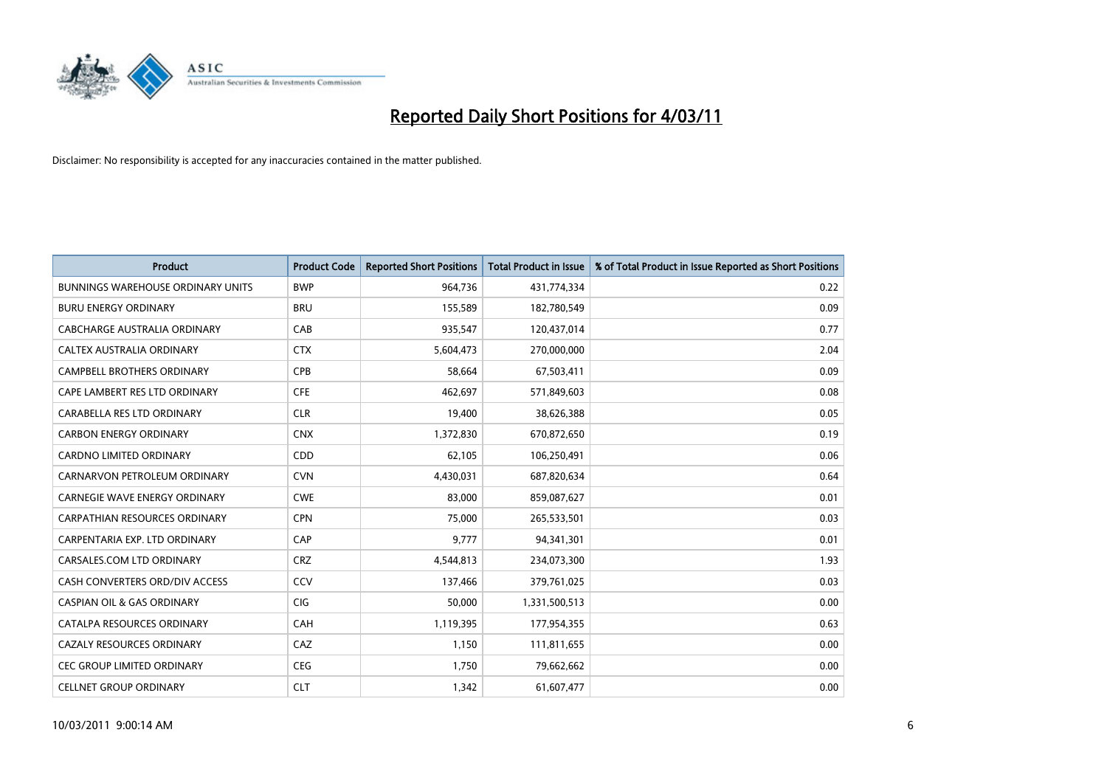

| Product                                  | <b>Product Code</b> | <b>Reported Short Positions</b> | <b>Total Product in Issue</b> | % of Total Product in Issue Reported as Short Positions |
|------------------------------------------|---------------------|---------------------------------|-------------------------------|---------------------------------------------------------|
| <b>BUNNINGS WAREHOUSE ORDINARY UNITS</b> | <b>BWP</b>          | 964,736                         | 431,774,334                   | 0.22                                                    |
| <b>BURU ENERGY ORDINARY</b>              | <b>BRU</b>          | 155,589                         | 182,780,549                   | 0.09                                                    |
| CABCHARGE AUSTRALIA ORDINARY             | CAB                 | 935,547                         | 120,437,014                   | 0.77                                                    |
| CALTEX AUSTRALIA ORDINARY                | <b>CTX</b>          | 5,604,473                       | 270,000,000                   | 2.04                                                    |
| <b>CAMPBELL BROTHERS ORDINARY</b>        | CPB                 | 58,664                          | 67,503,411                    | 0.09                                                    |
| CAPE LAMBERT RES LTD ORDINARY            | <b>CFE</b>          | 462,697                         | 571,849,603                   | 0.08                                                    |
| CARABELLA RES LTD ORDINARY               | <b>CLR</b>          | 19,400                          | 38,626,388                    | 0.05                                                    |
| <b>CARBON ENERGY ORDINARY</b>            | <b>CNX</b>          | 1,372,830                       | 670,872,650                   | 0.19                                                    |
| CARDNO LIMITED ORDINARY                  | CDD                 | 62,105                          | 106,250,491                   | 0.06                                                    |
| CARNARVON PETROLEUM ORDINARY             | <b>CVN</b>          | 4,430,031                       | 687,820,634                   | 0.64                                                    |
| <b>CARNEGIE WAVE ENERGY ORDINARY</b>     | <b>CWE</b>          | 83,000                          | 859,087,627                   | 0.01                                                    |
| <b>CARPATHIAN RESOURCES ORDINARY</b>     | <b>CPN</b>          | 75,000                          | 265,533,501                   | 0.03                                                    |
| CARPENTARIA EXP. LTD ORDINARY            | CAP                 | 9,777                           | 94,341,301                    | 0.01                                                    |
| CARSALES.COM LTD ORDINARY                | <b>CRZ</b>          | 4,544,813                       | 234,073,300                   | 1.93                                                    |
| CASH CONVERTERS ORD/DIV ACCESS           | CCV                 | 137,466                         | 379,761,025                   | 0.03                                                    |
| <b>CASPIAN OIL &amp; GAS ORDINARY</b>    | <b>CIG</b>          | 50,000                          | 1,331,500,513                 | 0.00                                                    |
| CATALPA RESOURCES ORDINARY               | CAH                 | 1,119,395                       | 177,954,355                   | 0.63                                                    |
| CAZALY RESOURCES ORDINARY                | CAZ                 | 1,150                           | 111,811,655                   | 0.00                                                    |
| <b>CEC GROUP LIMITED ORDINARY</b>        | <b>CEG</b>          | 1,750                           | 79,662,662                    | 0.00                                                    |
| <b>CELLNET GROUP ORDINARY</b>            | <b>CLT</b>          | 1,342                           | 61,607,477                    | 0.00                                                    |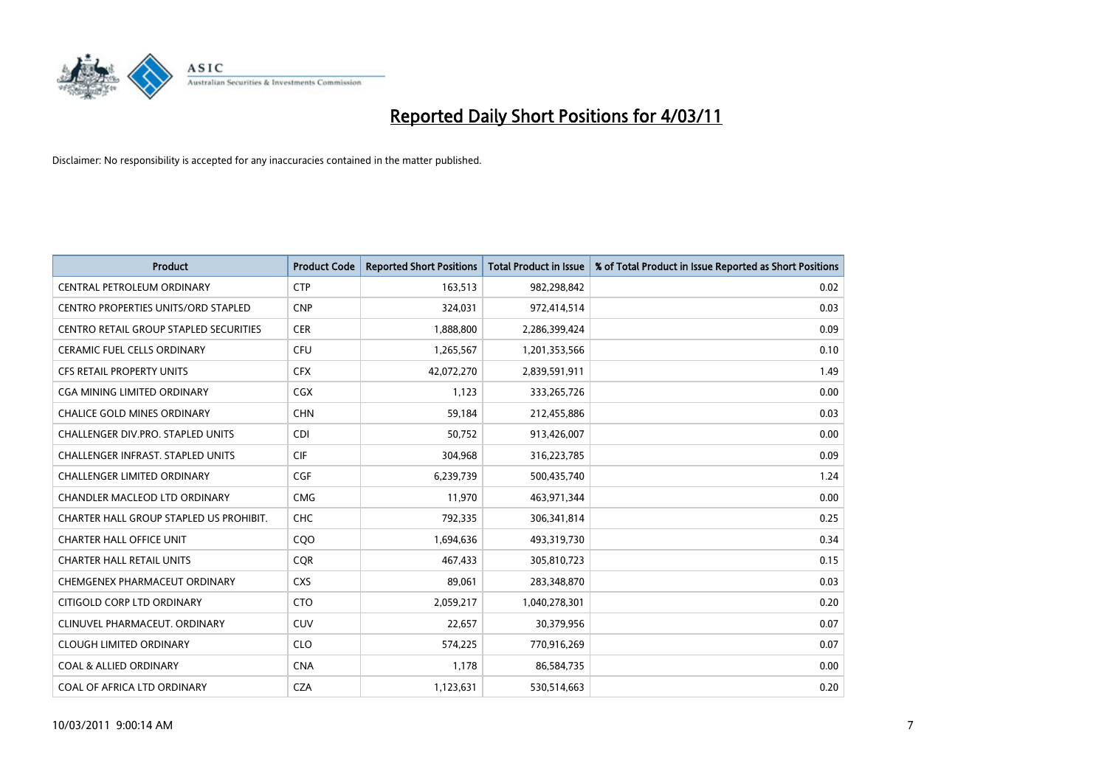

| <b>Product</b>                                | <b>Product Code</b> | <b>Reported Short Positions</b> | Total Product in Issue | % of Total Product in Issue Reported as Short Positions |
|-----------------------------------------------|---------------------|---------------------------------|------------------------|---------------------------------------------------------|
| CENTRAL PETROLEUM ORDINARY                    | <b>CTP</b>          | 163,513                         | 982,298,842            | 0.02                                                    |
| CENTRO PROPERTIES UNITS/ORD STAPLED           | <b>CNP</b>          | 324,031                         | 972,414,514            | 0.03                                                    |
| <b>CENTRO RETAIL GROUP STAPLED SECURITIES</b> | <b>CER</b>          | 1,888,800                       | 2,286,399,424          | 0.09                                                    |
| CERAMIC FUEL CELLS ORDINARY                   | <b>CFU</b>          | 1,265,567                       | 1,201,353,566          | 0.10                                                    |
| <b>CFS RETAIL PROPERTY UNITS</b>              | <b>CFX</b>          | 42,072,270                      | 2,839,591,911          | 1.49                                                    |
| <b>CGA MINING LIMITED ORDINARY</b>            | <b>CGX</b>          | 1,123                           | 333,265,726            | 0.00                                                    |
| <b>CHALICE GOLD MINES ORDINARY</b>            | <b>CHN</b>          | 59,184                          | 212,455,886            | 0.03                                                    |
| <b>CHALLENGER DIV.PRO. STAPLED UNITS</b>      | <b>CDI</b>          | 50,752                          | 913,426,007            | 0.00                                                    |
| CHALLENGER INFRAST. STAPLED UNITS             | <b>CIF</b>          | 304,968                         | 316,223,785            | 0.09                                                    |
| <b>CHALLENGER LIMITED ORDINARY</b>            | <b>CGF</b>          | 6,239,739                       | 500,435,740            | 1.24                                                    |
| CHANDLER MACLEOD LTD ORDINARY                 | <b>CMG</b>          | 11,970                          | 463,971,344            | 0.00                                                    |
| CHARTER HALL GROUP STAPLED US PROHIBIT.       | <b>CHC</b>          | 792,335                         | 306,341,814            | 0.25                                                    |
| <b>CHARTER HALL OFFICE UNIT</b>               | CQO                 | 1,694,636                       | 493,319,730            | 0.34                                                    |
| <b>CHARTER HALL RETAIL UNITS</b>              | <b>COR</b>          | 467,433                         | 305,810,723            | 0.15                                                    |
| CHEMGENEX PHARMACEUT ORDINARY                 | <b>CXS</b>          | 89,061                          | 283,348,870            | 0.03                                                    |
| CITIGOLD CORP LTD ORDINARY                    | <b>CTO</b>          | 2,059,217                       | 1,040,278,301          | 0.20                                                    |
| CLINUVEL PHARMACEUT, ORDINARY                 | <b>CUV</b>          | 22,657                          | 30,379,956             | 0.07                                                    |
| <b>CLOUGH LIMITED ORDINARY</b>                | <b>CLO</b>          | 574,225                         | 770,916,269            | 0.07                                                    |
| <b>COAL &amp; ALLIED ORDINARY</b>             | <b>CNA</b>          | 1,178                           | 86,584,735             | 0.00                                                    |
| COAL OF AFRICA LTD ORDINARY                   | <b>CZA</b>          | 1,123,631                       | 530,514,663            | 0.20                                                    |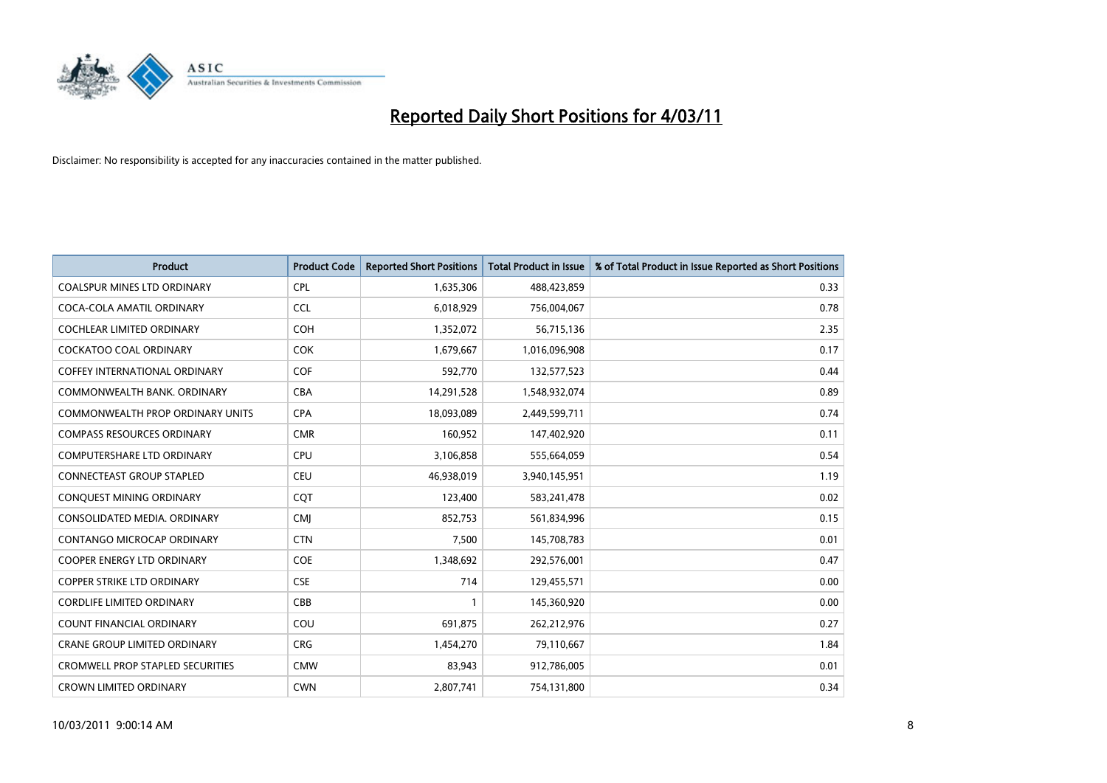

| <b>Product</b>                          | <b>Product Code</b> | <b>Reported Short Positions</b> | <b>Total Product in Issue</b> | % of Total Product in Issue Reported as Short Positions |
|-----------------------------------------|---------------------|---------------------------------|-------------------------------|---------------------------------------------------------|
| <b>COALSPUR MINES LTD ORDINARY</b>      | <b>CPL</b>          | 1,635,306                       | 488,423,859                   | 0.33                                                    |
| COCA-COLA AMATIL ORDINARY               | <b>CCL</b>          | 6,018,929                       | 756,004,067                   | 0.78                                                    |
| <b>COCHLEAR LIMITED ORDINARY</b>        | <b>COH</b>          | 1,352,072                       | 56,715,136                    | 2.35                                                    |
| COCKATOO COAL ORDINARY                  | <b>COK</b>          | 1,679,667                       | 1,016,096,908                 | 0.17                                                    |
| <b>COFFEY INTERNATIONAL ORDINARY</b>    | <b>COF</b>          | 592,770                         | 132,577,523                   | 0.44                                                    |
| COMMONWEALTH BANK, ORDINARY             | <b>CBA</b>          | 14,291,528                      | 1,548,932,074                 | 0.89                                                    |
| COMMONWEALTH PROP ORDINARY UNITS        | <b>CPA</b>          | 18,093,089                      | 2,449,599,711                 | 0.74                                                    |
| <b>COMPASS RESOURCES ORDINARY</b>       | <b>CMR</b>          | 160,952                         | 147,402,920                   | 0.11                                                    |
| COMPUTERSHARE LTD ORDINARY              | <b>CPU</b>          | 3,106,858                       | 555,664,059                   | 0.54                                                    |
| <b>CONNECTEAST GROUP STAPLED</b>        | <b>CEU</b>          | 46,938,019                      | 3,940,145,951                 | 1.19                                                    |
| CONQUEST MINING ORDINARY                | CQT                 | 123,400                         | 583,241,478                   | 0.02                                                    |
| CONSOLIDATED MEDIA, ORDINARY            | <b>CMI</b>          | 852,753                         | 561,834,996                   | 0.15                                                    |
| <b>CONTANGO MICROCAP ORDINARY</b>       | <b>CTN</b>          | 7,500                           | 145,708,783                   | 0.01                                                    |
| <b>COOPER ENERGY LTD ORDINARY</b>       | <b>COE</b>          | 1,348,692                       | 292,576,001                   | 0.47                                                    |
| <b>COPPER STRIKE LTD ORDINARY</b>       | <b>CSE</b>          | 714                             | 129,455,571                   | 0.00                                                    |
| <b>CORDLIFE LIMITED ORDINARY</b>        | CBB                 |                                 | 145,360,920                   | 0.00                                                    |
| <b>COUNT FINANCIAL ORDINARY</b>         | COU                 | 691,875                         | 262,212,976                   | 0.27                                                    |
| CRANE GROUP LIMITED ORDINARY            | <b>CRG</b>          | 1,454,270                       | 79,110,667                    | 1.84                                                    |
| <b>CROMWELL PROP STAPLED SECURITIES</b> | <b>CMW</b>          | 83,943                          | 912,786,005                   | 0.01                                                    |
| <b>CROWN LIMITED ORDINARY</b>           | <b>CWN</b>          | 2,807,741                       | 754,131,800                   | 0.34                                                    |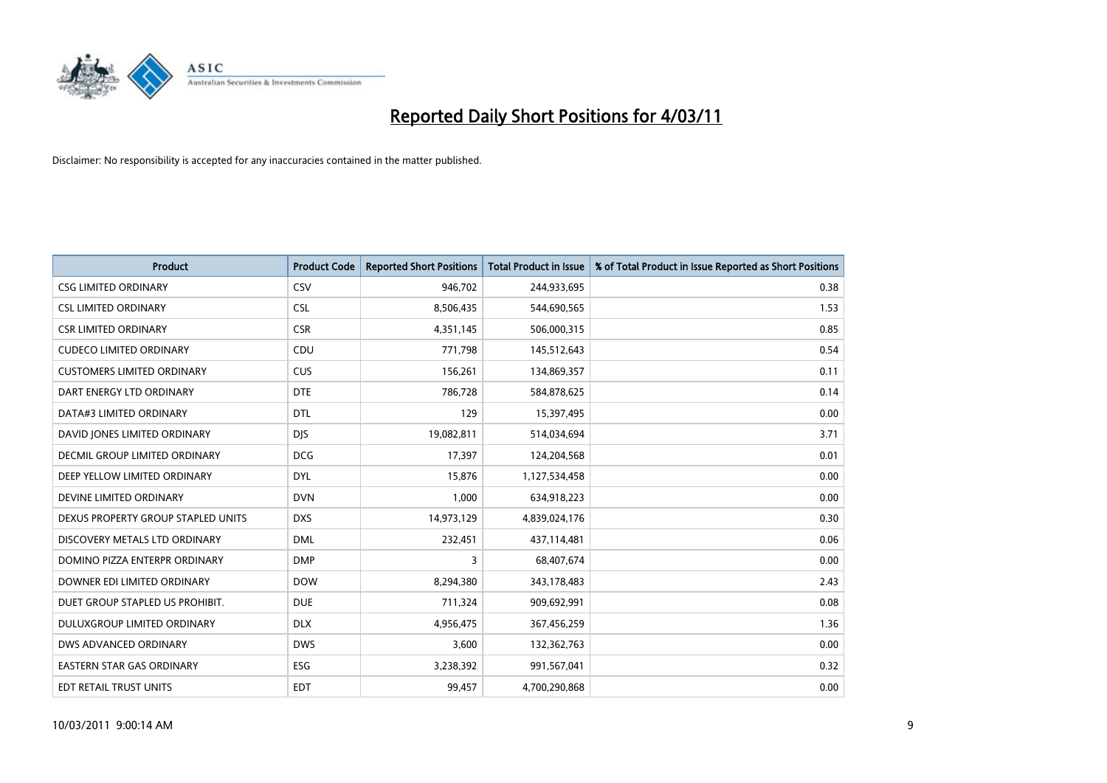

| <b>Product</b>                     | <b>Product Code</b> | <b>Reported Short Positions</b> | <b>Total Product in Issue</b> | % of Total Product in Issue Reported as Short Positions |
|------------------------------------|---------------------|---------------------------------|-------------------------------|---------------------------------------------------------|
| <b>CSG LIMITED ORDINARY</b>        | CSV                 | 946,702                         | 244,933,695                   | 0.38                                                    |
| <b>CSL LIMITED ORDINARY</b>        | <b>CSL</b>          | 8,506,435                       | 544,690,565                   | 1.53                                                    |
| <b>CSR LIMITED ORDINARY</b>        | <b>CSR</b>          | 4,351,145                       | 506,000,315                   | 0.85                                                    |
| <b>CUDECO LIMITED ORDINARY</b>     | CDU                 | 771,798                         | 145,512,643                   | 0.54                                                    |
| <b>CUSTOMERS LIMITED ORDINARY</b>  | <b>CUS</b>          | 156,261                         | 134,869,357                   | 0.11                                                    |
| DART ENERGY LTD ORDINARY           | <b>DTE</b>          | 786,728                         | 584,878,625                   | 0.14                                                    |
| DATA#3 LIMITED ORDINARY            | <b>DTL</b>          | 129                             | 15,397,495                    | 0.00                                                    |
| DAVID JONES LIMITED ORDINARY       | <b>DJS</b>          | 19,082,811                      | 514,034,694                   | 3.71                                                    |
| DECMIL GROUP LIMITED ORDINARY      | <b>DCG</b>          | 17,397                          | 124,204,568                   | 0.01                                                    |
| DEEP YELLOW LIMITED ORDINARY       | <b>DYL</b>          | 15,876                          | 1,127,534,458                 | 0.00                                                    |
| DEVINE LIMITED ORDINARY            | <b>DVN</b>          | 1,000                           | 634,918,223                   | 0.00                                                    |
| DEXUS PROPERTY GROUP STAPLED UNITS | <b>DXS</b>          | 14,973,129                      | 4,839,024,176                 | 0.30                                                    |
| DISCOVERY METALS LTD ORDINARY      | <b>DML</b>          | 232,451                         | 437,114,481                   | 0.06                                                    |
| DOMINO PIZZA ENTERPR ORDINARY      | <b>DMP</b>          | 3                               | 68,407,674                    | 0.00                                                    |
| DOWNER EDI LIMITED ORDINARY        | <b>DOW</b>          | 8,294,380                       | 343,178,483                   | 2.43                                                    |
| DUET GROUP STAPLED US PROHIBIT.    | <b>DUE</b>          | 711,324                         | 909,692,991                   | 0.08                                                    |
| DULUXGROUP LIMITED ORDINARY        | <b>DLX</b>          | 4,956,475                       | 367,456,259                   | 1.36                                                    |
| DWS ADVANCED ORDINARY              | <b>DWS</b>          | 3,600                           | 132,362,763                   | 0.00                                                    |
| <b>EASTERN STAR GAS ORDINARY</b>   | <b>ESG</b>          | 3,238,392                       | 991,567,041                   | 0.32                                                    |
| <b>EDT RETAIL TRUST UNITS</b>      | <b>EDT</b>          | 99,457                          | 4,700,290,868                 | 0.00                                                    |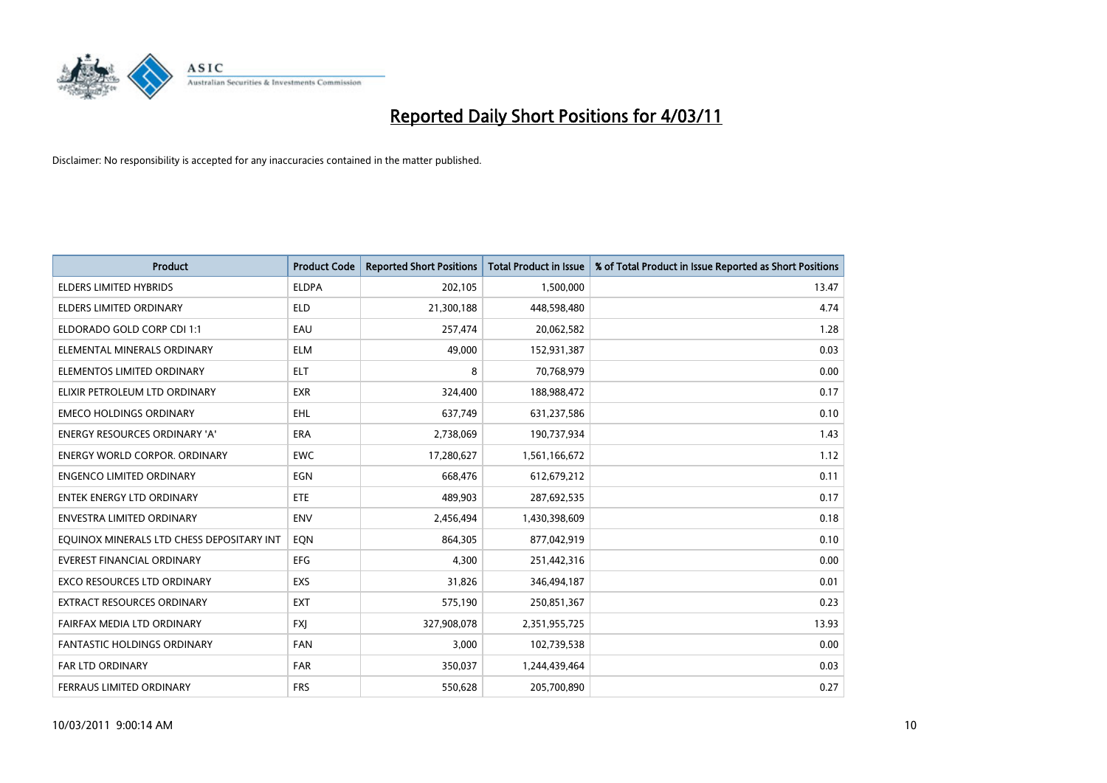

| <b>Product</b>                            | <b>Product Code</b> | <b>Reported Short Positions</b> | <b>Total Product in Issue</b> | % of Total Product in Issue Reported as Short Positions |
|-------------------------------------------|---------------------|---------------------------------|-------------------------------|---------------------------------------------------------|
| <b>ELDERS LIMITED HYBRIDS</b>             | <b>ELDPA</b>        | 202,105                         | 1,500,000                     | 13.47                                                   |
| ELDERS LIMITED ORDINARY                   | <b>ELD</b>          | 21,300,188                      | 448,598,480                   | 4.74                                                    |
| ELDORADO GOLD CORP CDI 1:1                | EAU                 | 257,474                         | 20,062,582                    | 1.28                                                    |
| ELEMENTAL MINERALS ORDINARY               | <b>ELM</b>          | 49,000                          | 152,931,387                   | 0.03                                                    |
| ELEMENTOS LIMITED ORDINARY                | <b>ELT</b>          | 8                               | 70,768,979                    | 0.00                                                    |
| ELIXIR PETROLEUM LTD ORDINARY             | <b>EXR</b>          | 324,400                         | 188,988,472                   | 0.17                                                    |
| <b>EMECO HOLDINGS ORDINARY</b>            | <b>EHL</b>          | 637,749                         | 631,237,586                   | 0.10                                                    |
| ENERGY RESOURCES ORDINARY 'A'             | <b>ERA</b>          | 2,738,069                       | 190,737,934                   | 1.43                                                    |
| <b>ENERGY WORLD CORPOR, ORDINARY</b>      | <b>EWC</b>          | 17,280,627                      | 1,561,166,672                 | 1.12                                                    |
| <b>ENGENCO LIMITED ORDINARY</b>           | EGN                 | 668,476                         | 612,679,212                   | 0.11                                                    |
| ENTEK ENERGY LTD ORDINARY                 | <b>ETE</b>          | 489,903                         | 287,692,535                   | 0.17                                                    |
| <b>ENVESTRA LIMITED ORDINARY</b>          | <b>ENV</b>          | 2,456,494                       | 1,430,398,609                 | 0.18                                                    |
| EQUINOX MINERALS LTD CHESS DEPOSITARY INT | EQN                 | 864,305                         | 877,042,919                   | 0.10                                                    |
| <b>EVEREST FINANCIAL ORDINARY</b>         | EFG                 | 4,300                           | 251,442,316                   | 0.00                                                    |
| <b>EXCO RESOURCES LTD ORDINARY</b>        | EXS                 | 31,826                          | 346,494,187                   | 0.01                                                    |
| EXTRACT RESOURCES ORDINARY                | <b>EXT</b>          | 575,190                         | 250,851,367                   | 0.23                                                    |
| FAIRFAX MEDIA LTD ORDINARY                | <b>FXJ</b>          | 327,908,078                     | 2,351,955,725                 | 13.93                                                   |
| FANTASTIC HOLDINGS ORDINARY               | <b>FAN</b>          | 3,000                           | 102,739,538                   | 0.00                                                    |
| <b>FAR LTD ORDINARY</b>                   | <b>FAR</b>          | 350,037                         | 1,244,439,464                 | 0.03                                                    |
| FERRAUS LIMITED ORDINARY                  | <b>FRS</b>          | 550,628                         | 205,700,890                   | 0.27                                                    |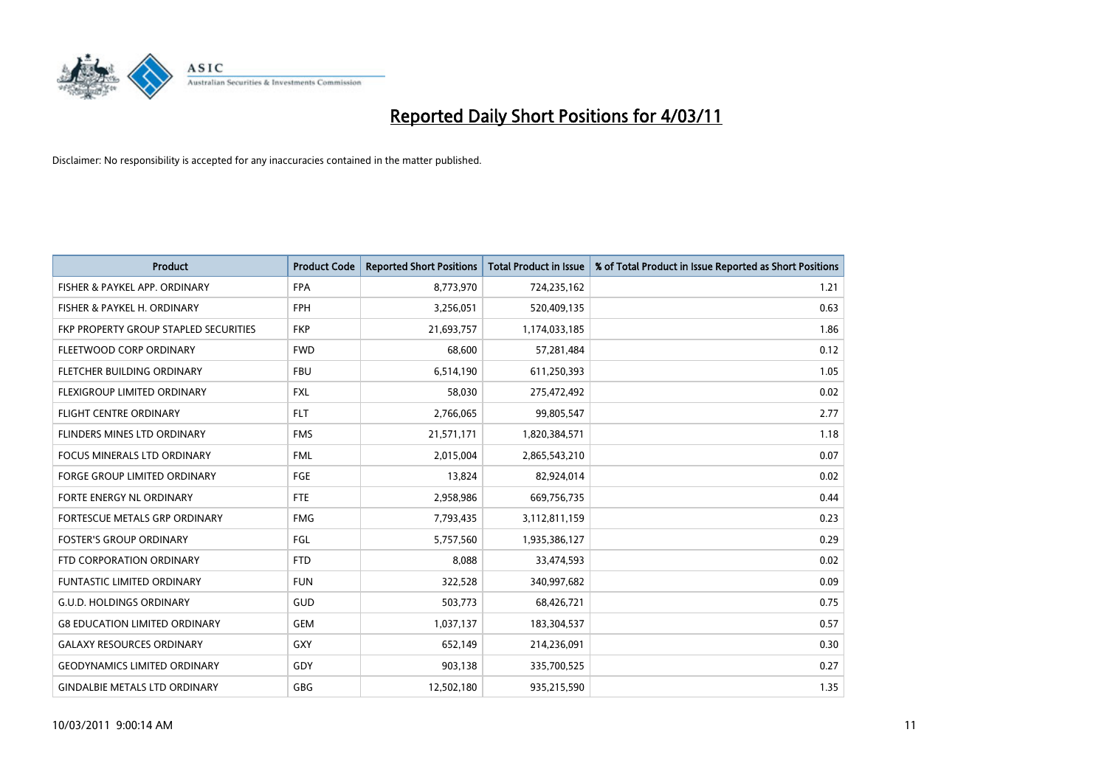

| Product                                      | <b>Product Code</b> | <b>Reported Short Positions</b> | Total Product in Issue | % of Total Product in Issue Reported as Short Positions |
|----------------------------------------------|---------------------|---------------------------------|------------------------|---------------------------------------------------------|
| FISHER & PAYKEL APP. ORDINARY                | <b>FPA</b>          | 8,773,970                       | 724,235,162            | 1.21                                                    |
| FISHER & PAYKEL H. ORDINARY                  | <b>FPH</b>          | 3,256,051                       | 520,409,135            | 0.63                                                    |
| <b>FKP PROPERTY GROUP STAPLED SECURITIES</b> | <b>FKP</b>          | 21,693,757                      | 1,174,033,185          | 1.86                                                    |
| FLEETWOOD CORP ORDINARY                      | <b>FWD</b>          | 68,600                          | 57,281,484             | 0.12                                                    |
| FLETCHER BUILDING ORDINARY                   | <b>FBU</b>          | 6,514,190                       | 611,250,393            | 1.05                                                    |
| FLEXIGROUP LIMITED ORDINARY                  | <b>FXL</b>          | 58,030                          | 275,472,492            | 0.02                                                    |
| <b>FLIGHT CENTRE ORDINARY</b>                | <b>FLT</b>          | 2,766,065                       | 99,805,547             | 2.77                                                    |
| FLINDERS MINES LTD ORDINARY                  | <b>FMS</b>          | 21,571,171                      | 1,820,384,571          | 1.18                                                    |
| FOCUS MINERALS LTD ORDINARY                  | <b>FML</b>          | 2,015,004                       | 2,865,543,210          | 0.07                                                    |
| <b>FORGE GROUP LIMITED ORDINARY</b>          | FGE                 | 13,824                          | 82,924,014             | 0.02                                                    |
| FORTE ENERGY NL ORDINARY                     | <b>FTE</b>          | 2,958,986                       | 669,756,735            | 0.44                                                    |
| <b>FORTESCUE METALS GRP ORDINARY</b>         | <b>FMG</b>          | 7,793,435                       | 3,112,811,159          | 0.23                                                    |
| <b>FOSTER'S GROUP ORDINARY</b>               | FGL                 | 5,757,560                       | 1,935,386,127          | 0.29                                                    |
| FTD CORPORATION ORDINARY                     | <b>FTD</b>          | 8,088                           | 33,474,593             | 0.02                                                    |
| <b>FUNTASTIC LIMITED ORDINARY</b>            | <b>FUN</b>          | 322,528                         | 340,997,682            | 0.09                                                    |
| <b>G.U.D. HOLDINGS ORDINARY</b>              | GUD                 | 503,773                         | 68,426,721             | 0.75                                                    |
| <b>G8 EDUCATION LIMITED ORDINARY</b>         | <b>GEM</b>          | 1,037,137                       | 183,304,537            | 0.57                                                    |
| <b>GALAXY RESOURCES ORDINARY</b>             | GXY                 | 652,149                         | 214,236,091            | 0.30                                                    |
| <b>GEODYNAMICS LIMITED ORDINARY</b>          | GDY                 | 903,138                         | 335,700,525            | 0.27                                                    |
| <b>GINDALBIE METALS LTD ORDINARY</b>         | <b>GBG</b>          | 12,502,180                      | 935,215,590            | 1.35                                                    |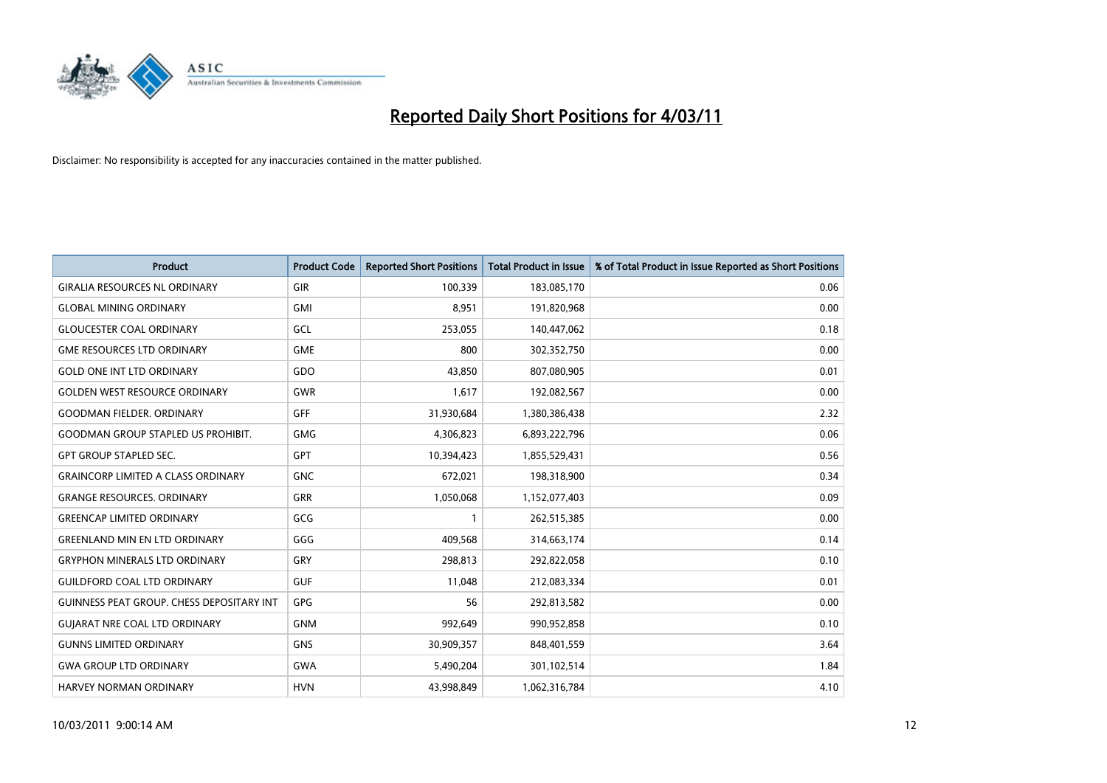

| <b>Product</b>                                   | <b>Product Code</b> | <b>Reported Short Positions</b> | Total Product in Issue | % of Total Product in Issue Reported as Short Positions |
|--------------------------------------------------|---------------------|---------------------------------|------------------------|---------------------------------------------------------|
| <b>GIRALIA RESOURCES NL ORDINARY</b>             | GIR                 | 100,339                         | 183,085,170            | 0.06                                                    |
| <b>GLOBAL MINING ORDINARY</b>                    | <b>GMI</b>          | 8,951                           | 191,820,968            | 0.00                                                    |
| <b>GLOUCESTER COAL ORDINARY</b>                  | GCL                 | 253,055                         | 140,447,062            | 0.18                                                    |
| <b>GME RESOURCES LTD ORDINARY</b>                | <b>GME</b>          | 800                             | 302,352,750            | 0.00                                                    |
| <b>GOLD ONE INT LTD ORDINARY</b>                 | GDO                 | 43,850                          | 807,080,905            | 0.01                                                    |
| <b>GOLDEN WEST RESOURCE ORDINARY</b>             | <b>GWR</b>          | 1,617                           | 192,082,567            | 0.00                                                    |
| <b>GOODMAN FIELDER, ORDINARY</b>                 | GFF                 | 31,930,684                      | 1,380,386,438          | 2.32                                                    |
| <b>GOODMAN GROUP STAPLED US PROHIBIT.</b>        | <b>GMG</b>          | 4,306,823                       | 6,893,222,796          | 0.06                                                    |
| <b>GPT GROUP STAPLED SEC.</b>                    | GPT                 | 10,394,423                      | 1,855,529,431          | 0.56                                                    |
| <b>GRAINCORP LIMITED A CLASS ORDINARY</b>        | <b>GNC</b>          | 672,021                         | 198,318,900            | 0.34                                                    |
| <b>GRANGE RESOURCES. ORDINARY</b>                | <b>GRR</b>          | 1,050,068                       | 1,152,077,403          | 0.09                                                    |
| <b>GREENCAP LIMITED ORDINARY</b>                 | GCG                 |                                 | 262,515,385            | 0.00                                                    |
| <b>GREENLAND MIN EN LTD ORDINARY</b>             | GGG                 | 409,568                         | 314,663,174            | 0.14                                                    |
| <b>GRYPHON MINERALS LTD ORDINARY</b>             | GRY                 | 298,813                         | 292,822,058            | 0.10                                                    |
| <b>GUILDFORD COAL LTD ORDINARY</b>               | <b>GUF</b>          | 11,048                          | 212,083,334            | 0.01                                                    |
| <b>GUINNESS PEAT GROUP. CHESS DEPOSITARY INT</b> | <b>GPG</b>          | 56                              | 292,813,582            | 0.00                                                    |
| <b>GUIARAT NRE COAL LTD ORDINARY</b>             | <b>GNM</b>          | 992,649                         | 990,952,858            | 0.10                                                    |
| <b>GUNNS LIMITED ORDINARY</b>                    | <b>GNS</b>          | 30,909,357                      | 848,401,559            | 3.64                                                    |
| <b>GWA GROUP LTD ORDINARY</b>                    | <b>GWA</b>          | 5,490,204                       | 301,102,514            | 1.84                                                    |
| <b>HARVEY NORMAN ORDINARY</b>                    | <b>HVN</b>          | 43,998,849                      | 1,062,316,784          | 4.10                                                    |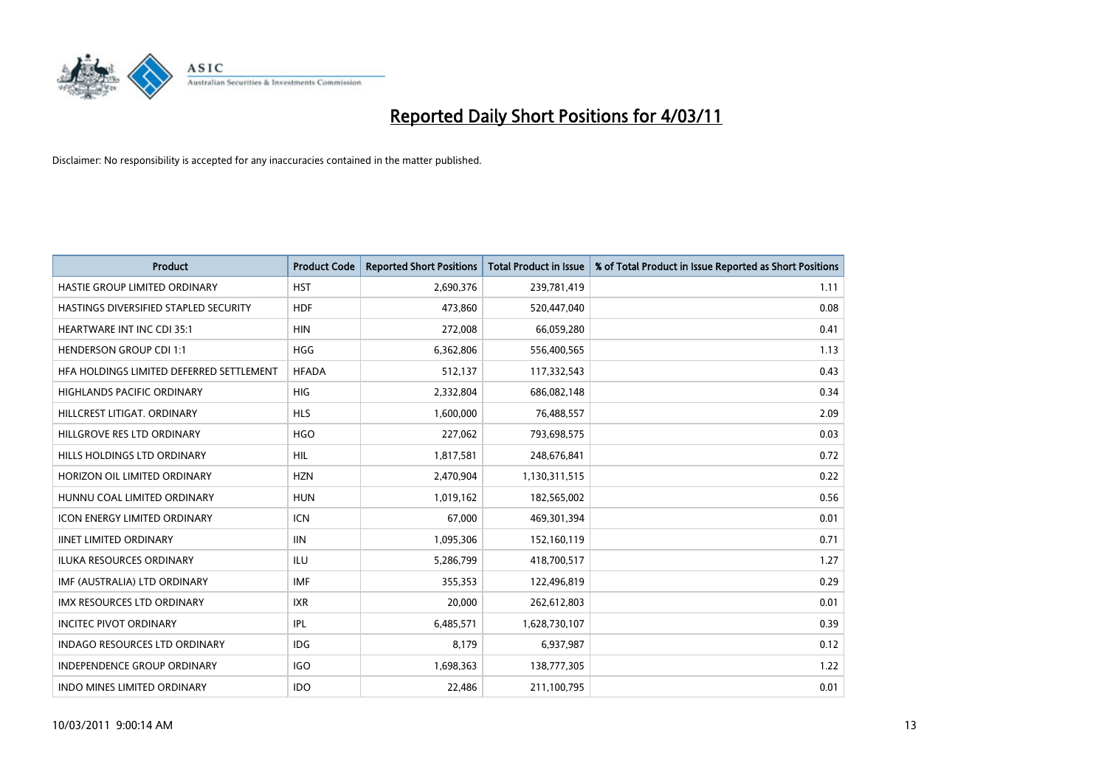

| Product                                  | <b>Product Code</b> | <b>Reported Short Positions</b> | <b>Total Product in Issue</b> | % of Total Product in Issue Reported as Short Positions |
|------------------------------------------|---------------------|---------------------------------|-------------------------------|---------------------------------------------------------|
| HASTIE GROUP LIMITED ORDINARY            | <b>HST</b>          | 2,690,376                       | 239,781,419                   | 1.11                                                    |
| HASTINGS DIVERSIFIED STAPLED SECURITY    | <b>HDF</b>          | 473,860                         | 520,447,040                   | 0.08                                                    |
| <b>HEARTWARE INT INC CDI 35:1</b>        | <b>HIN</b>          | 272,008                         | 66,059,280                    | 0.41                                                    |
| <b>HENDERSON GROUP CDI 1:1</b>           | <b>HGG</b>          | 6,362,806                       | 556,400,565                   | 1.13                                                    |
| HFA HOLDINGS LIMITED DEFERRED SETTLEMENT | <b>HFADA</b>        | 512,137                         | 117,332,543                   | 0.43                                                    |
| <b>HIGHLANDS PACIFIC ORDINARY</b>        | <b>HIG</b>          | 2,332,804                       | 686,082,148                   | 0.34                                                    |
| HILLCREST LITIGAT, ORDINARY              | <b>HLS</b>          | 1,600,000                       | 76,488,557                    | 2.09                                                    |
| HILLGROVE RES LTD ORDINARY               | <b>HGO</b>          | 227,062                         | 793,698,575                   | 0.03                                                    |
| HILLS HOLDINGS LTD ORDINARY              | <b>HIL</b>          | 1,817,581                       | 248,676,841                   | 0.72                                                    |
| HORIZON OIL LIMITED ORDINARY             | <b>HZN</b>          | 2,470,904                       | 1,130,311,515                 | 0.22                                                    |
| HUNNU COAL LIMITED ORDINARY              | <b>HUN</b>          | 1,019,162                       | 182,565,002                   | 0.56                                                    |
| <b>ICON ENERGY LIMITED ORDINARY</b>      | <b>ICN</b>          | 67,000                          | 469,301,394                   | 0.01                                                    |
| <b>IINET LIMITED ORDINARY</b>            | <b>IIN</b>          | 1,095,306                       | 152,160,119                   | 0.71                                                    |
| <b>ILUKA RESOURCES ORDINARY</b>          | ILU                 | 5,286,799                       | 418,700,517                   | 1.27                                                    |
| IMF (AUSTRALIA) LTD ORDINARY             | <b>IMF</b>          | 355,353                         | 122,496,819                   | 0.29                                                    |
| <b>IMX RESOURCES LTD ORDINARY</b>        | <b>IXR</b>          | 20,000                          | 262,612,803                   | 0.01                                                    |
| <b>INCITEC PIVOT ORDINARY</b>            | IPL                 | 6,485,571                       | 1,628,730,107                 | 0.39                                                    |
| INDAGO RESOURCES LTD ORDINARY            | <b>IDG</b>          | 8,179                           | 6,937,987                     | 0.12                                                    |
| <b>INDEPENDENCE GROUP ORDINARY</b>       | <b>IGO</b>          | 1,698,363                       | 138,777,305                   | 1.22                                                    |
| INDO MINES LIMITED ORDINARY              | <b>IDO</b>          | 22,486                          | 211,100,795                   | 0.01                                                    |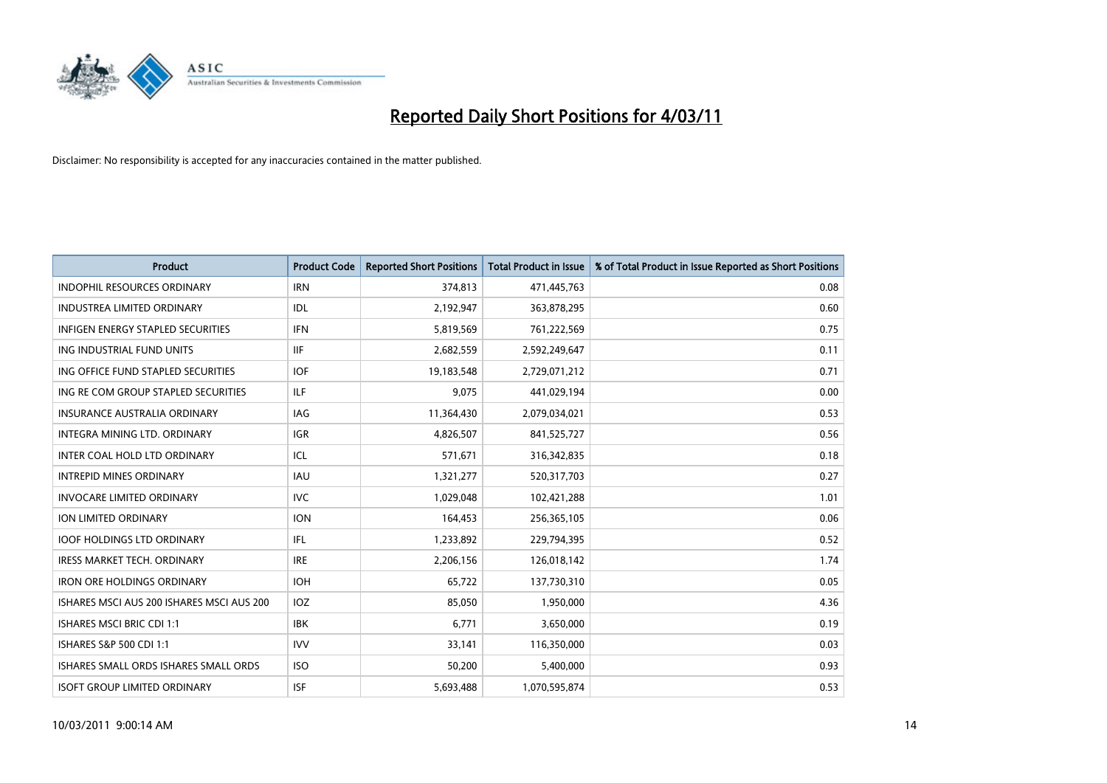

| Product                                   | <b>Product Code</b> | <b>Reported Short Positions</b> | <b>Total Product in Issue</b> | % of Total Product in Issue Reported as Short Positions |
|-------------------------------------------|---------------------|---------------------------------|-------------------------------|---------------------------------------------------------|
| <b>INDOPHIL RESOURCES ORDINARY</b>        | <b>IRN</b>          | 374,813                         | 471,445,763                   | 0.08                                                    |
| <b>INDUSTREA LIMITED ORDINARY</b>         | IDL                 | 2,192,947                       | 363,878,295                   | 0.60                                                    |
| <b>INFIGEN ENERGY STAPLED SECURITIES</b>  | <b>IFN</b>          | 5,819,569                       | 761,222,569                   | 0.75                                                    |
| ING INDUSTRIAL FUND UNITS                 | <b>IIF</b>          | 2,682,559                       | 2,592,249,647                 | 0.11                                                    |
| ING OFFICE FUND STAPLED SECURITIES        | <b>IOF</b>          | 19,183,548                      | 2,729,071,212                 | 0.71                                                    |
| ING RE COM GROUP STAPLED SECURITIES       | ILF.                | 9,075                           | 441,029,194                   | 0.00                                                    |
| INSURANCE AUSTRALIA ORDINARY              | IAG                 | 11,364,430                      | 2,079,034,021                 | 0.53                                                    |
| <b>INTEGRA MINING LTD, ORDINARY</b>       | <b>IGR</b>          | 4,826,507                       | 841,525,727                   | 0.56                                                    |
| INTER COAL HOLD LTD ORDINARY              | ICL                 | 571,671                         | 316,342,835                   | 0.18                                                    |
| <b>INTREPID MINES ORDINARY</b>            | <b>IAU</b>          | 1,321,277                       | 520,317,703                   | 0.27                                                    |
| <b>INVOCARE LIMITED ORDINARY</b>          | <b>IVC</b>          | 1,029,048                       | 102,421,288                   | 1.01                                                    |
| ION LIMITED ORDINARY                      | <b>ION</b>          | 164,453                         | 256,365,105                   | 0.06                                                    |
| <b>IOOF HOLDINGS LTD ORDINARY</b>         | IFL.                | 1,233,892                       | 229,794,395                   | 0.52                                                    |
| <b>IRESS MARKET TECH. ORDINARY</b>        | <b>IRE</b>          | 2,206,156                       | 126,018,142                   | 1.74                                                    |
| <b>IRON ORE HOLDINGS ORDINARY</b>         | <b>IOH</b>          | 65,722                          | 137,730,310                   | 0.05                                                    |
| ISHARES MSCI AUS 200 ISHARES MSCI AUS 200 | IOZ                 | 85,050                          | 1,950,000                     | 4.36                                                    |
| <b>ISHARES MSCI BRIC CDI 1:1</b>          | <b>IBK</b>          | 6,771                           | 3,650,000                     | 0.19                                                    |
| ISHARES S&P 500 CDI 1:1                   | <b>IVV</b>          | 33,141                          | 116,350,000                   | 0.03                                                    |
| ISHARES SMALL ORDS ISHARES SMALL ORDS     | <b>ISO</b>          | 50,200                          | 5,400,000                     | 0.93                                                    |
| <b>ISOFT GROUP LIMITED ORDINARY</b>       | <b>ISF</b>          | 5,693,488                       | 1,070,595,874                 | 0.53                                                    |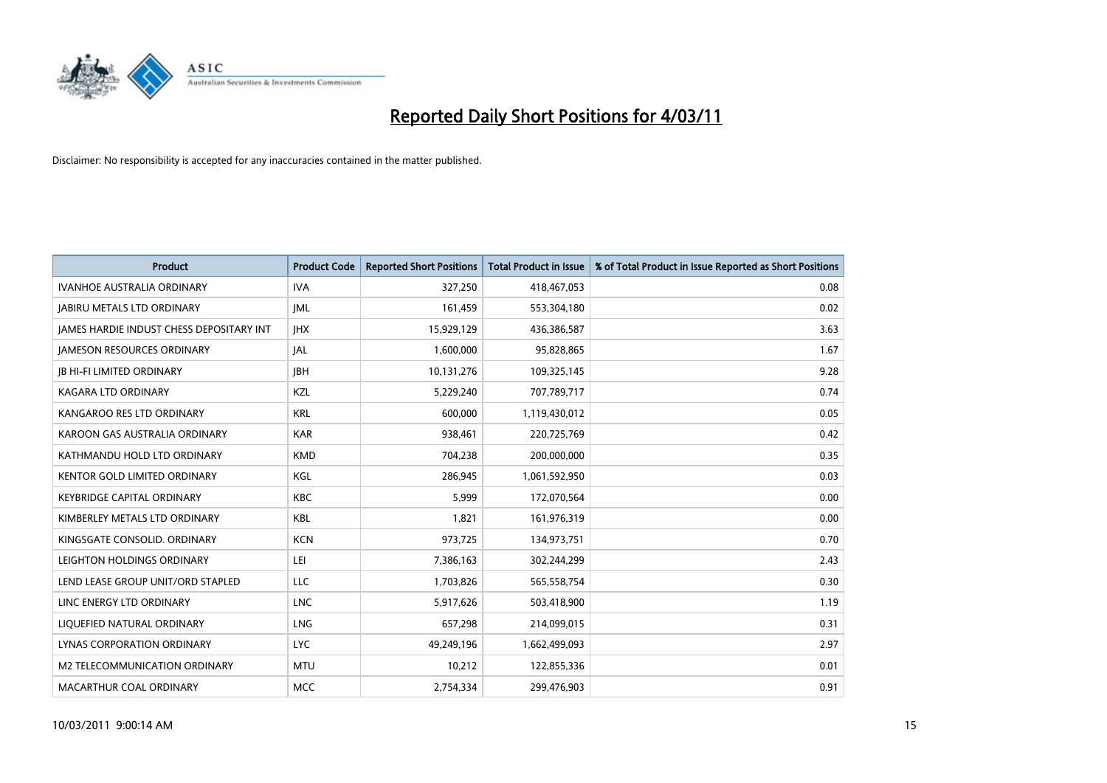

| Product                                         | <b>Product Code</b> | <b>Reported Short Positions</b> | <b>Total Product in Issue</b> | % of Total Product in Issue Reported as Short Positions |
|-------------------------------------------------|---------------------|---------------------------------|-------------------------------|---------------------------------------------------------|
| <b>IVANHOE AUSTRALIA ORDINARY</b>               | <b>IVA</b>          | 327,250                         | 418,467,053                   | 0.08                                                    |
| <b>JABIRU METALS LTD ORDINARY</b>               | <b>JML</b>          | 161,459                         | 553,304,180                   | 0.02                                                    |
| <b>IAMES HARDIE INDUST CHESS DEPOSITARY INT</b> | <b>IHX</b>          | 15,929,129                      | 436,386,587                   | 3.63                                                    |
| <b>JAMESON RESOURCES ORDINARY</b>               | JAL                 | 1,600,000                       | 95,828,865                    | 1.67                                                    |
| <b>JB HI-FI LIMITED ORDINARY</b>                | <b>IBH</b>          | 10,131,276                      | 109,325,145                   | 9.28                                                    |
| KAGARA LTD ORDINARY                             | KZL                 | 5,229,240                       | 707,789,717                   | 0.74                                                    |
| KANGAROO RES LTD ORDINARY                       | <b>KRL</b>          | 600,000                         | 1,119,430,012                 | 0.05                                                    |
| KAROON GAS AUSTRALIA ORDINARY                   | <b>KAR</b>          | 938,461                         | 220,725,769                   | 0.42                                                    |
| KATHMANDU HOLD LTD ORDINARY                     | <b>KMD</b>          | 704,238                         | 200,000,000                   | 0.35                                                    |
| KENTOR GOLD LIMITED ORDINARY                    | <b>KGL</b>          | 286,945                         | 1,061,592,950                 | 0.03                                                    |
| KEYBRIDGE CAPITAL ORDINARY                      | <b>KBC</b>          | 5,999                           | 172,070,564                   | 0.00                                                    |
| KIMBERLEY METALS LTD ORDINARY                   | <b>KBL</b>          | 1,821                           | 161,976,319                   | 0.00                                                    |
| KINGSGATE CONSOLID, ORDINARY                    | <b>KCN</b>          | 973,725                         | 134,973,751                   | 0.70                                                    |
| LEIGHTON HOLDINGS ORDINARY                      | LEI                 | 7,386,163                       | 302,244,299                   | 2.43                                                    |
| LEND LEASE GROUP UNIT/ORD STAPLED               | <b>LLC</b>          | 1,703,826                       | 565,558,754                   | 0.30                                                    |
| LINC ENERGY LTD ORDINARY                        | <b>LNC</b>          | 5,917,626                       | 503,418,900                   | 1.19                                                    |
| LIQUEFIED NATURAL ORDINARY                      | <b>LNG</b>          | 657,298                         | 214,099,015                   | 0.31                                                    |
| LYNAS CORPORATION ORDINARY                      | <b>LYC</b>          | 49,249,196                      | 1,662,499,093                 | 2.97                                                    |
| M2 TELECOMMUNICATION ORDINARY                   | <b>MTU</b>          | 10,212                          | 122,855,336                   | 0.01                                                    |
| MACARTHUR COAL ORDINARY                         | <b>MCC</b>          | 2,754,334                       | 299,476,903                   | 0.91                                                    |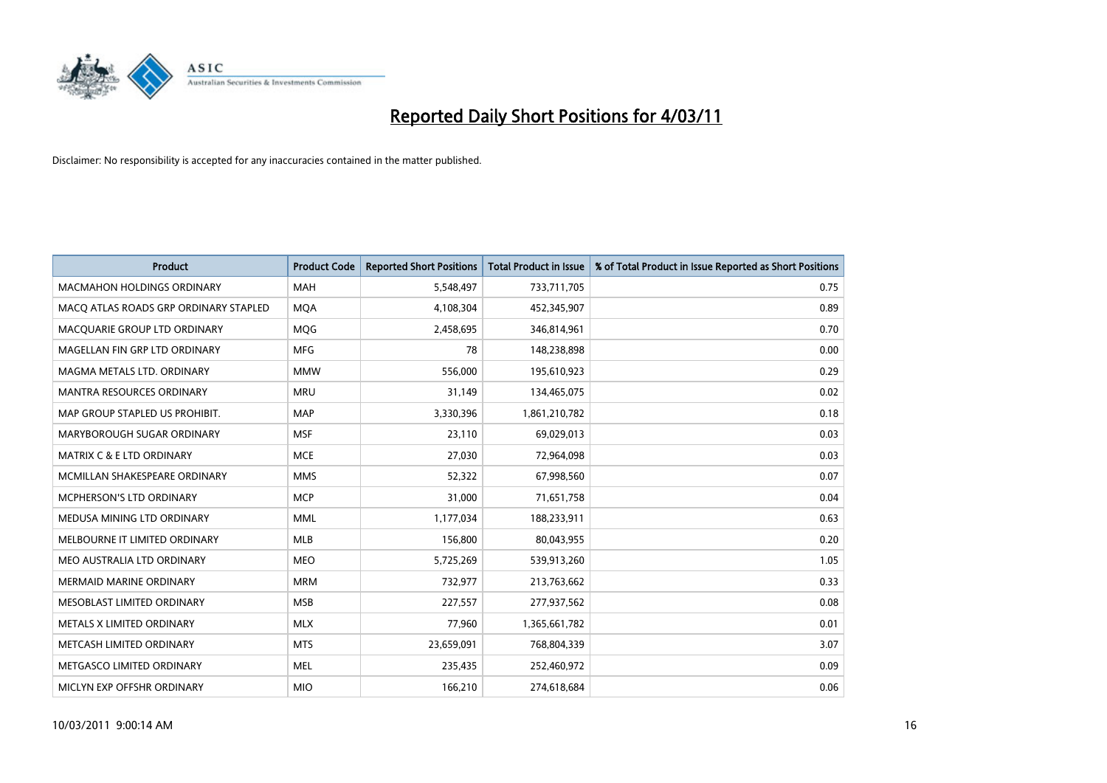

| <b>Product</b>                        | <b>Product Code</b> | <b>Reported Short Positions</b> | Total Product in Issue | % of Total Product in Issue Reported as Short Positions |
|---------------------------------------|---------------------|---------------------------------|------------------------|---------------------------------------------------------|
| <b>MACMAHON HOLDINGS ORDINARY</b>     | <b>MAH</b>          | 5,548,497                       | 733,711,705            | 0.75                                                    |
| MACO ATLAS ROADS GRP ORDINARY STAPLED | <b>MOA</b>          | 4,108,304                       | 452,345,907            | 0.89                                                    |
| MACQUARIE GROUP LTD ORDINARY          | MQG                 | 2,458,695                       | 346,814,961            | 0.70                                                    |
| MAGELLAN FIN GRP LTD ORDINARY         | <b>MFG</b>          | 78                              | 148,238,898            | 0.00                                                    |
| MAGMA METALS LTD. ORDINARY            | <b>MMW</b>          | 556,000                         | 195,610,923            | 0.29                                                    |
| <b>MANTRA RESOURCES ORDINARY</b>      | <b>MRU</b>          | 31,149                          | 134,465,075            | 0.02                                                    |
| MAP GROUP STAPLED US PROHIBIT.        | <b>MAP</b>          | 3,330,396                       | 1,861,210,782          | 0.18                                                    |
| MARYBOROUGH SUGAR ORDINARY            | <b>MSF</b>          | 23,110                          | 69,029,013             | 0.03                                                    |
| MATRIX C & E LTD ORDINARY             | <b>MCE</b>          | 27,030                          | 72,964,098             | 0.03                                                    |
| MCMILLAN SHAKESPEARE ORDINARY         | <b>MMS</b>          | 52,322                          | 67,998,560             | 0.07                                                    |
| MCPHERSON'S LTD ORDINARY              | <b>MCP</b>          | 31,000                          | 71,651,758             | 0.04                                                    |
| MEDUSA MINING LTD ORDINARY            | <b>MML</b>          | 1,177,034                       | 188,233,911            | 0.63                                                    |
| MELBOURNE IT LIMITED ORDINARY         | <b>MLB</b>          | 156,800                         | 80,043,955             | 0.20                                                    |
| MEO AUSTRALIA LTD ORDINARY            | <b>MEO</b>          | 5,725,269                       | 539,913,260            | 1.05                                                    |
| <b>MERMAID MARINE ORDINARY</b>        | <b>MRM</b>          | 732,977                         | 213,763,662            | 0.33                                                    |
| MESOBLAST LIMITED ORDINARY            | <b>MSB</b>          | 227,557                         | 277,937,562            | 0.08                                                    |
| METALS X LIMITED ORDINARY             | <b>MLX</b>          | 77,960                          | 1,365,661,782          | 0.01                                                    |
| METCASH LIMITED ORDINARY              | <b>MTS</b>          | 23,659,091                      | 768,804,339            | 3.07                                                    |
| METGASCO LIMITED ORDINARY             | <b>MEL</b>          | 235,435                         | 252,460,972            | 0.09                                                    |
| MICLYN EXP OFFSHR ORDINARY            | <b>MIO</b>          | 166,210                         | 274,618,684            | 0.06                                                    |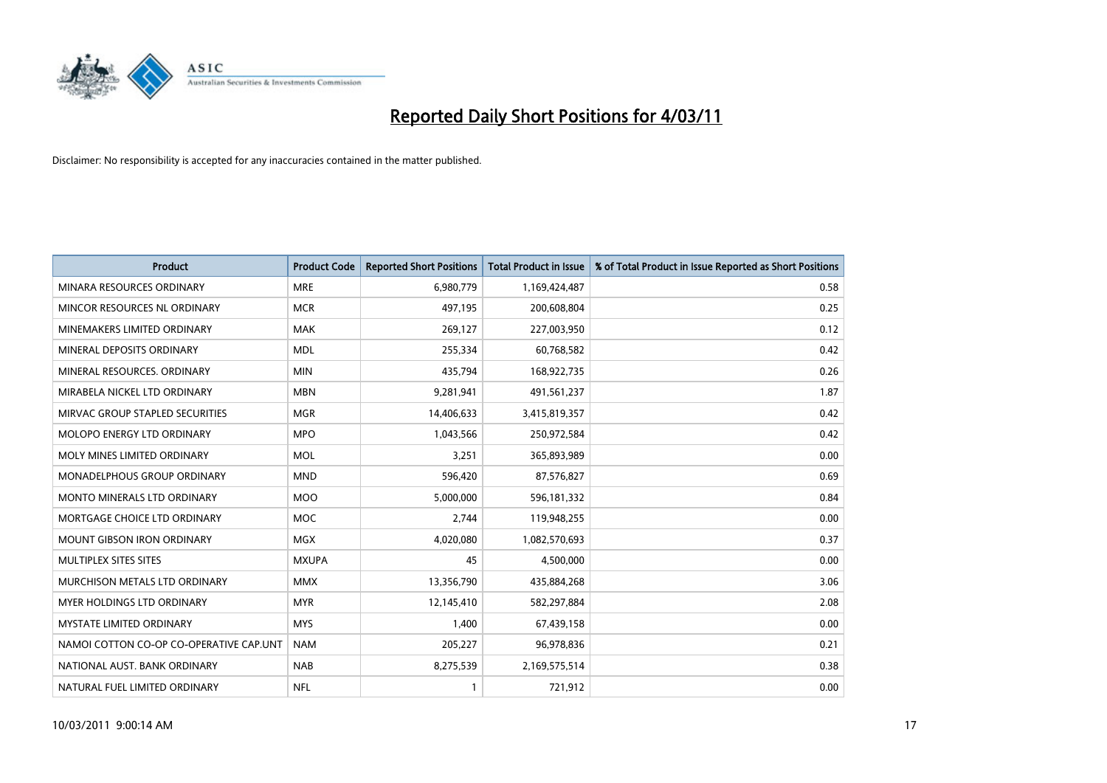

| Product                                 | <b>Product Code</b> | <b>Reported Short Positions</b> | <b>Total Product in Issue</b> | % of Total Product in Issue Reported as Short Positions |
|-----------------------------------------|---------------------|---------------------------------|-------------------------------|---------------------------------------------------------|
| MINARA RESOURCES ORDINARY               | <b>MRE</b>          | 6,980,779                       | 1,169,424,487                 | 0.58                                                    |
| MINCOR RESOURCES NL ORDINARY            | <b>MCR</b>          | 497,195                         | 200,608,804                   | 0.25                                                    |
| MINEMAKERS LIMITED ORDINARY             | <b>MAK</b>          | 269,127                         | 227,003,950                   | 0.12                                                    |
| MINERAL DEPOSITS ORDINARY               | <b>MDL</b>          | 255,334                         | 60,768,582                    | 0.42                                                    |
| MINERAL RESOURCES, ORDINARY             | <b>MIN</b>          | 435,794                         | 168,922,735                   | 0.26                                                    |
| MIRABELA NICKEL LTD ORDINARY            | <b>MBN</b>          | 9,281,941                       | 491,561,237                   | 1.87                                                    |
| MIRVAC GROUP STAPLED SECURITIES         | <b>MGR</b>          | 14,406,633                      | 3,415,819,357                 | 0.42                                                    |
| <b>MOLOPO ENERGY LTD ORDINARY</b>       | <b>MPO</b>          | 1,043,566                       | 250,972,584                   | 0.42                                                    |
| MOLY MINES LIMITED ORDINARY             | <b>MOL</b>          | 3,251                           | 365,893,989                   | 0.00                                                    |
| MONADELPHOUS GROUP ORDINARY             | <b>MND</b>          | 596,420                         | 87,576,827                    | 0.69                                                    |
| <b>MONTO MINERALS LTD ORDINARY</b>      | <b>MOO</b>          | 5,000,000                       | 596,181,332                   | 0.84                                                    |
| MORTGAGE CHOICE LTD ORDINARY            | MOC                 | 2,744                           | 119,948,255                   | 0.00                                                    |
| <b>MOUNT GIBSON IRON ORDINARY</b>       | <b>MGX</b>          | 4,020,080                       | 1,082,570,693                 | 0.37                                                    |
| MULTIPLEX SITES SITES                   | <b>MXUPA</b>        | 45                              | 4,500,000                     | 0.00                                                    |
| MURCHISON METALS LTD ORDINARY           | <b>MMX</b>          | 13,356,790                      | 435,884,268                   | 3.06                                                    |
| MYER HOLDINGS LTD ORDINARY              | <b>MYR</b>          | 12,145,410                      | 582,297,884                   | 2.08                                                    |
| <b>MYSTATE LIMITED ORDINARY</b>         | <b>MYS</b>          | 1,400                           | 67,439,158                    | 0.00                                                    |
| NAMOI COTTON CO-OP CO-OPERATIVE CAP.UNT | <b>NAM</b>          | 205,227                         | 96,978,836                    | 0.21                                                    |
| NATIONAL AUST, BANK ORDINARY            | <b>NAB</b>          | 8,275,539                       | 2,169,575,514                 | 0.38                                                    |
| NATURAL FUEL LIMITED ORDINARY           | <b>NFL</b>          |                                 | 721,912                       | 0.00                                                    |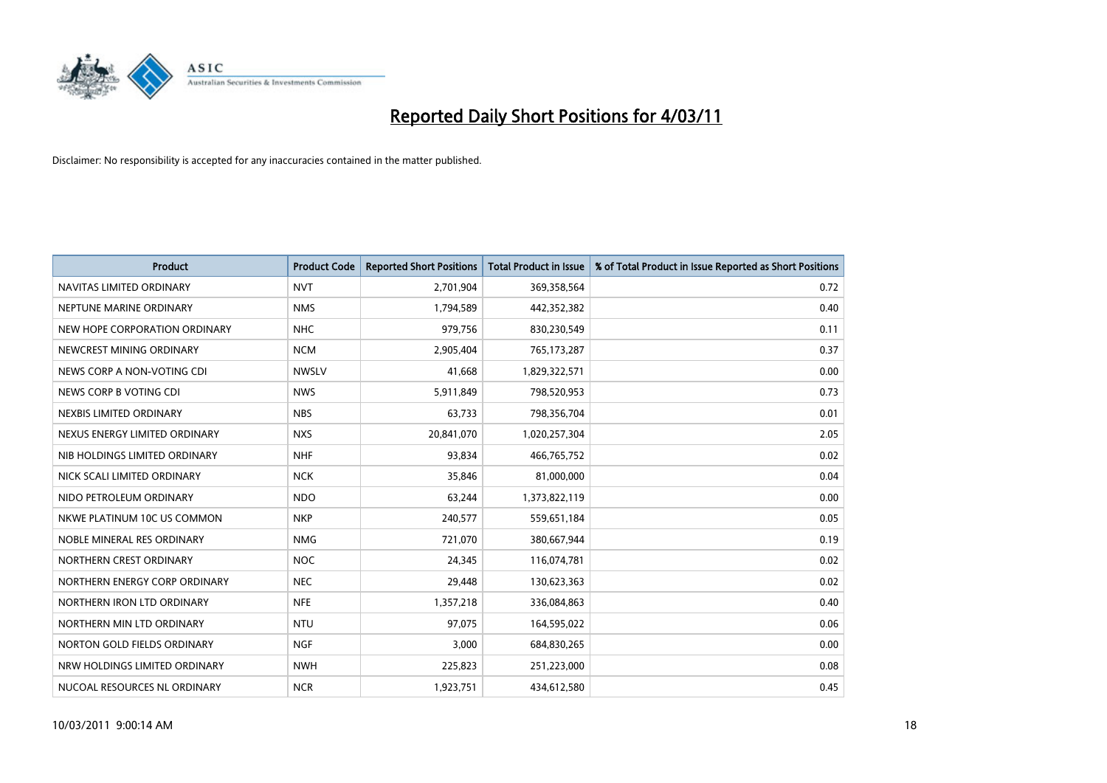

| Product                       | <b>Product Code</b> | <b>Reported Short Positions</b> | <b>Total Product in Issue</b> | % of Total Product in Issue Reported as Short Positions |
|-------------------------------|---------------------|---------------------------------|-------------------------------|---------------------------------------------------------|
| NAVITAS LIMITED ORDINARY      | <b>NVT</b>          | 2,701,904                       | 369,358,564                   | 0.72                                                    |
| NEPTUNE MARINE ORDINARY       | <b>NMS</b>          | 1,794,589                       | 442,352,382                   | 0.40                                                    |
| NEW HOPE CORPORATION ORDINARY | <b>NHC</b>          | 979,756                         | 830,230,549                   | 0.11                                                    |
| NEWCREST MINING ORDINARY      | <b>NCM</b>          | 2,905,404                       | 765,173,287                   | 0.37                                                    |
| NEWS CORP A NON-VOTING CDI    | <b>NWSLV</b>        | 41,668                          | 1,829,322,571                 | 0.00                                                    |
| NEWS CORP B VOTING CDI        | <b>NWS</b>          | 5,911,849                       | 798,520,953                   | 0.73                                                    |
| NEXBIS LIMITED ORDINARY       | <b>NBS</b>          | 63,733                          | 798,356,704                   | 0.01                                                    |
| NEXUS ENERGY LIMITED ORDINARY | <b>NXS</b>          | 20,841,070                      | 1,020,257,304                 | 2.05                                                    |
| NIB HOLDINGS LIMITED ORDINARY | <b>NHF</b>          | 93,834                          | 466,765,752                   | 0.02                                                    |
| NICK SCALI LIMITED ORDINARY   | <b>NCK</b>          | 35,846                          | 81,000,000                    | 0.04                                                    |
| NIDO PETROLEUM ORDINARY       | <b>NDO</b>          | 63,244                          | 1,373,822,119                 | 0.00                                                    |
| NKWE PLATINUM 10C US COMMON   | <b>NKP</b>          | 240,577                         | 559,651,184                   | 0.05                                                    |
| NOBLE MINERAL RES ORDINARY    | <b>NMG</b>          | 721,070                         | 380,667,944                   | 0.19                                                    |
| NORTHERN CREST ORDINARY       | <b>NOC</b>          | 24,345                          | 116,074,781                   | 0.02                                                    |
| NORTHERN ENERGY CORP ORDINARY | <b>NEC</b>          | 29,448                          | 130,623,363                   | 0.02                                                    |
| NORTHERN IRON LTD ORDINARY    | <b>NFE</b>          | 1,357,218                       | 336,084,863                   | 0.40                                                    |
| NORTHERN MIN LTD ORDINARY     | <b>NTU</b>          | 97,075                          | 164,595,022                   | 0.06                                                    |
| NORTON GOLD FIELDS ORDINARY   | <b>NGF</b>          | 3,000                           | 684,830,265                   | 0.00                                                    |
| NRW HOLDINGS LIMITED ORDINARY | <b>NWH</b>          | 225,823                         | 251,223,000                   | 0.08                                                    |
| NUCOAL RESOURCES NL ORDINARY  | <b>NCR</b>          | 1,923,751                       | 434,612,580                   | 0.45                                                    |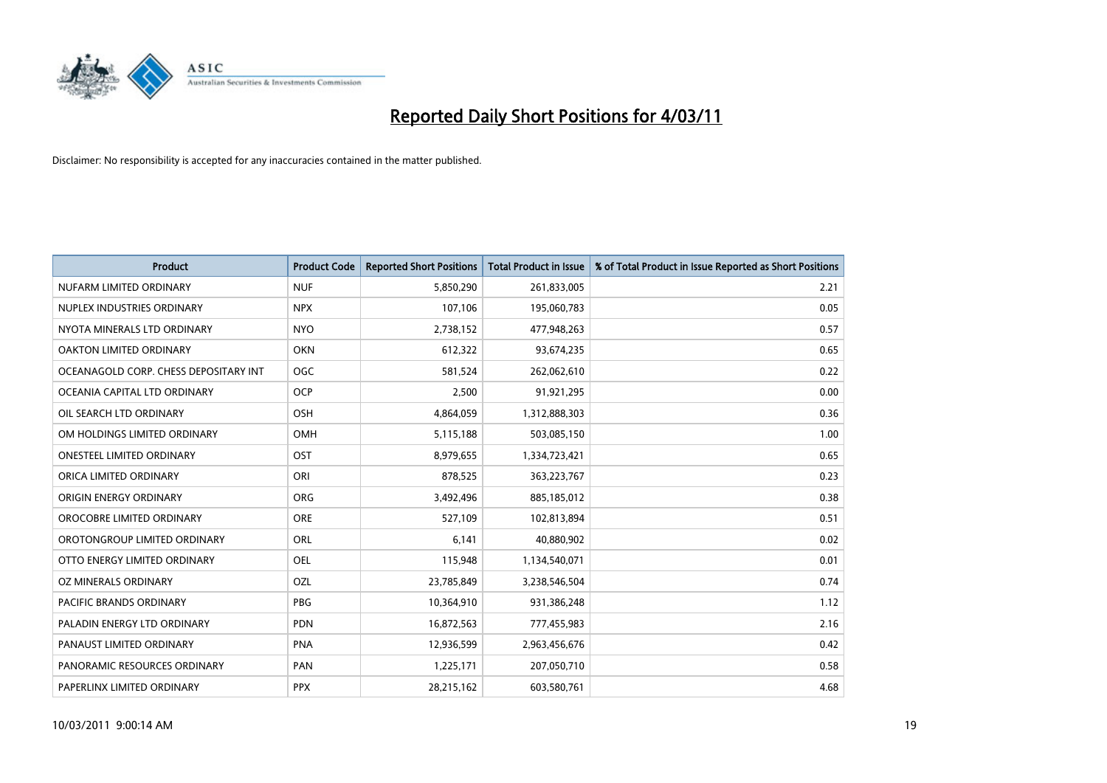

| <b>Product</b>                        | <b>Product Code</b> | <b>Reported Short Positions</b> | <b>Total Product in Issue</b> | % of Total Product in Issue Reported as Short Positions |
|---------------------------------------|---------------------|---------------------------------|-------------------------------|---------------------------------------------------------|
| NUFARM LIMITED ORDINARY               | <b>NUF</b>          | 5,850,290                       | 261,833,005                   | 2.21                                                    |
| NUPLEX INDUSTRIES ORDINARY            | <b>NPX</b>          | 107,106                         | 195,060,783                   | 0.05                                                    |
| NYOTA MINERALS LTD ORDINARY           | <b>NYO</b>          | 2,738,152                       | 477,948,263                   | 0.57                                                    |
| OAKTON LIMITED ORDINARY               | <b>OKN</b>          | 612,322                         | 93,674,235                    | 0.65                                                    |
| OCEANAGOLD CORP. CHESS DEPOSITARY INT | <b>OGC</b>          | 581,524                         | 262,062,610                   | 0.22                                                    |
| OCEANIA CAPITAL LTD ORDINARY          | <b>OCP</b>          | 2,500                           | 91,921,295                    | 0.00                                                    |
| OIL SEARCH LTD ORDINARY               | OSH                 | 4,864,059                       | 1,312,888,303                 | 0.36                                                    |
| OM HOLDINGS LIMITED ORDINARY          | OMH                 | 5,115,188                       | 503,085,150                   | 1.00                                                    |
| ONESTEEL LIMITED ORDINARY             | OST                 | 8,979,655                       | 1,334,723,421                 | 0.65                                                    |
| ORICA LIMITED ORDINARY                | ORI                 | 878,525                         | 363,223,767                   | 0.23                                                    |
| ORIGIN ENERGY ORDINARY                | <b>ORG</b>          | 3,492,496                       | 885,185,012                   | 0.38                                                    |
| OROCOBRE LIMITED ORDINARY             | <b>ORE</b>          | 527,109                         | 102,813,894                   | 0.51                                                    |
| OROTONGROUP LIMITED ORDINARY          | <b>ORL</b>          | 6.141                           | 40,880,902                    | 0.02                                                    |
| OTTO ENERGY LIMITED ORDINARY          | OEL                 | 115,948                         | 1,134,540,071                 | 0.01                                                    |
| OZ MINERALS ORDINARY                  | <b>OZL</b>          | 23,785,849                      | 3,238,546,504                 | 0.74                                                    |
| <b>PACIFIC BRANDS ORDINARY</b>        | <b>PBG</b>          | 10,364,910                      | 931,386,248                   | 1.12                                                    |
| PALADIN ENERGY LTD ORDINARY           | <b>PDN</b>          | 16,872,563                      | 777,455,983                   | 2.16                                                    |
| PANAUST LIMITED ORDINARY              | <b>PNA</b>          | 12,936,599                      | 2,963,456,676                 | 0.42                                                    |
| PANORAMIC RESOURCES ORDINARY          | PAN                 | 1,225,171                       | 207,050,710                   | 0.58                                                    |
| PAPERLINX LIMITED ORDINARY            | <b>PPX</b>          | 28,215,162                      | 603,580,761                   | 4.68                                                    |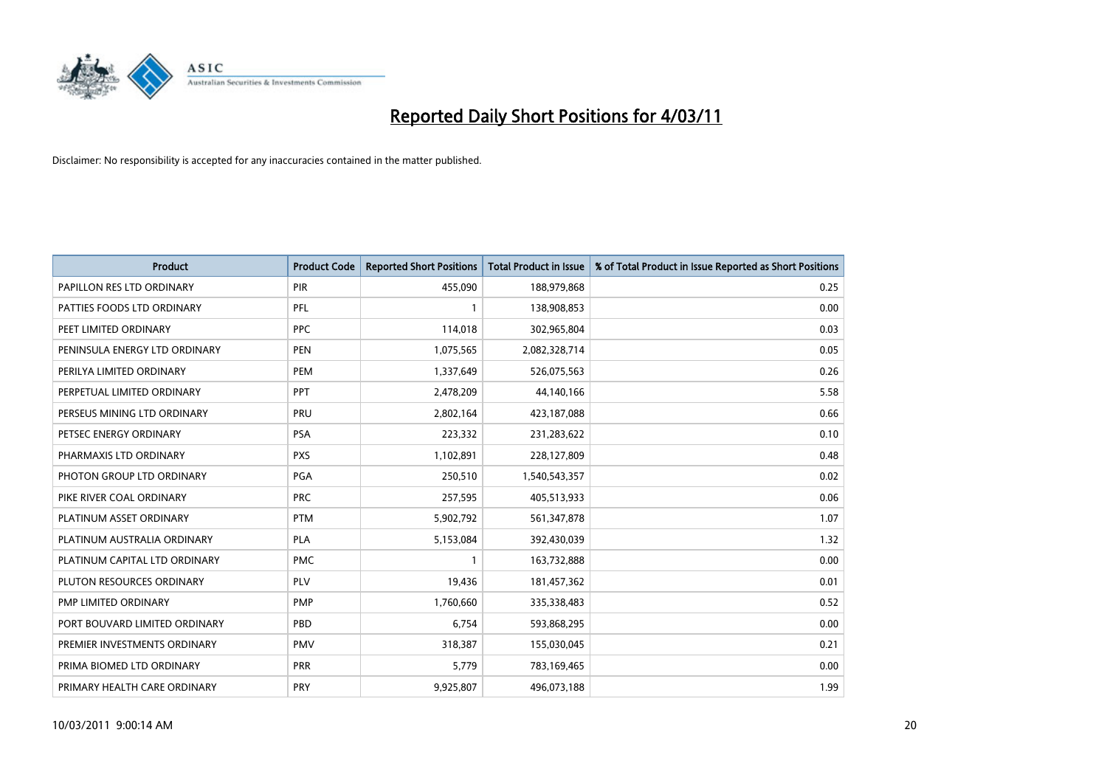

| <b>Product</b>                | <b>Product Code</b> | <b>Reported Short Positions</b> | <b>Total Product in Issue</b> | % of Total Product in Issue Reported as Short Positions |
|-------------------------------|---------------------|---------------------------------|-------------------------------|---------------------------------------------------------|
| PAPILLON RES LTD ORDINARY     | PIR                 | 455,090                         | 188,979,868                   | 0.25                                                    |
| PATTIES FOODS LTD ORDINARY    | PFL                 |                                 | 138,908,853                   | 0.00                                                    |
| PEET LIMITED ORDINARY         | <b>PPC</b>          | 114,018                         | 302,965,804                   | 0.03                                                    |
| PENINSULA ENERGY LTD ORDINARY | <b>PEN</b>          | 1,075,565                       | 2,082,328,714                 | 0.05                                                    |
| PERILYA LIMITED ORDINARY      | PEM                 | 1,337,649                       | 526,075,563                   | 0.26                                                    |
| PERPETUAL LIMITED ORDINARY    | <b>PPT</b>          | 2,478,209                       | 44,140,166                    | 5.58                                                    |
| PERSEUS MINING LTD ORDINARY   | PRU                 | 2,802,164                       | 423,187,088                   | 0.66                                                    |
| PETSEC ENERGY ORDINARY        | <b>PSA</b>          | 223,332                         | 231,283,622                   | 0.10                                                    |
| PHARMAXIS LTD ORDINARY        | <b>PXS</b>          | 1,102,891                       | 228,127,809                   | 0.48                                                    |
| PHOTON GROUP LTD ORDINARY     | PGA                 | 250,510                         | 1,540,543,357                 | 0.02                                                    |
| PIKE RIVER COAL ORDINARY      | <b>PRC</b>          | 257,595                         | 405,513,933                   | 0.06                                                    |
| PLATINUM ASSET ORDINARY       | <b>PTM</b>          | 5,902,792                       | 561,347,878                   | 1.07                                                    |
| PLATINUM AUSTRALIA ORDINARY   | <b>PLA</b>          | 5,153,084                       | 392,430,039                   | 1.32                                                    |
| PLATINUM CAPITAL LTD ORDINARY | <b>PMC</b>          |                                 | 163,732,888                   | 0.00                                                    |
| PLUTON RESOURCES ORDINARY     | <b>PLV</b>          | 19,436                          | 181,457,362                   | 0.01                                                    |
| PMP LIMITED ORDINARY          | <b>PMP</b>          | 1,760,660                       | 335,338,483                   | 0.52                                                    |
| PORT BOUVARD LIMITED ORDINARY | PBD                 | 6,754                           | 593,868,295                   | 0.00                                                    |
| PREMIER INVESTMENTS ORDINARY  | <b>PMV</b>          | 318,387                         | 155,030,045                   | 0.21                                                    |
| PRIMA BIOMED LTD ORDINARY     | PRR                 | 5,779                           | 783,169,465                   | 0.00                                                    |
| PRIMARY HEALTH CARE ORDINARY  | PRY                 | 9,925,807                       | 496,073,188                   | 1.99                                                    |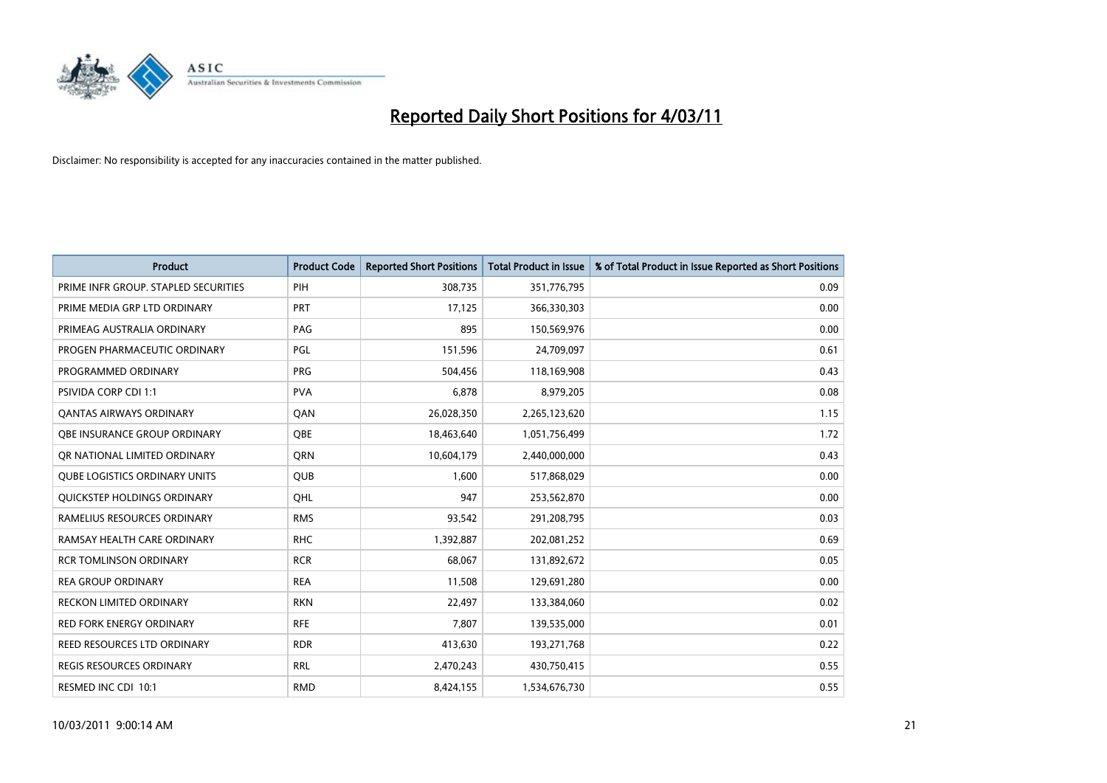

| <b>Product</b>                       | <b>Product Code</b> | <b>Reported Short Positions</b> | Total Product in Issue | % of Total Product in Issue Reported as Short Positions |
|--------------------------------------|---------------------|---------------------------------|------------------------|---------------------------------------------------------|
| PRIME INFR GROUP. STAPLED SECURITIES | PIH                 | 308,735                         | 351,776,795            | 0.09                                                    |
| PRIME MEDIA GRP LTD ORDINARY         | <b>PRT</b>          | 17,125                          | 366,330,303            | 0.00                                                    |
| PRIMEAG AUSTRALIA ORDINARY           | PAG                 | 895                             | 150,569,976            | 0.00                                                    |
| PROGEN PHARMACEUTIC ORDINARY         | PGL                 | 151,596                         | 24,709,097             | 0.61                                                    |
| PROGRAMMED ORDINARY                  | PRG                 | 504,456                         | 118,169,908            | 0.43                                                    |
| <b>PSIVIDA CORP CDI 1:1</b>          | <b>PVA</b>          | 6,878                           | 8,979,205              | 0.08                                                    |
| <b>QANTAS AIRWAYS ORDINARY</b>       | QAN                 | 26,028,350                      | 2,265,123,620          | 1.15                                                    |
| OBE INSURANCE GROUP ORDINARY         | <b>OBE</b>          | 18,463,640                      | 1,051,756,499          | 1.72                                                    |
| OR NATIONAL LIMITED ORDINARY         | <b>ORN</b>          | 10,604,179                      | 2,440,000,000          | 0.43                                                    |
| <b>OUBE LOGISTICS ORDINARY UNITS</b> | <b>QUB</b>          | 1.600                           | 517,868,029            | 0.00                                                    |
| QUICKSTEP HOLDINGS ORDINARY          | OHL                 | 947                             | 253,562,870            | 0.00                                                    |
| RAMELIUS RESOURCES ORDINARY          | <b>RMS</b>          | 93,542                          | 291,208,795            | 0.03                                                    |
| RAMSAY HEALTH CARE ORDINARY          | <b>RHC</b>          | 1,392,887                       | 202,081,252            | 0.69                                                    |
| <b>RCR TOMLINSON ORDINARY</b>        | <b>RCR</b>          | 68.067                          | 131,892,672            | 0.05                                                    |
| <b>REA GROUP ORDINARY</b>            | <b>REA</b>          | 11,508                          | 129,691,280            | 0.00                                                    |
| <b>RECKON LIMITED ORDINARY</b>       | <b>RKN</b>          | 22,497                          | 133,384,060            | 0.02                                                    |
| <b>RED FORK ENERGY ORDINARY</b>      | <b>RFE</b>          | 7,807                           | 139,535,000            | 0.01                                                    |
| REED RESOURCES LTD ORDINARY          | <b>RDR</b>          | 413,630                         | 193,271,768            | 0.22                                                    |
| <b>REGIS RESOURCES ORDINARY</b>      | <b>RRL</b>          | 2,470,243                       | 430,750,415            | 0.55                                                    |
| RESMED INC CDI 10:1                  | <b>RMD</b>          | 8,424,155                       | 1,534,676,730          | 0.55                                                    |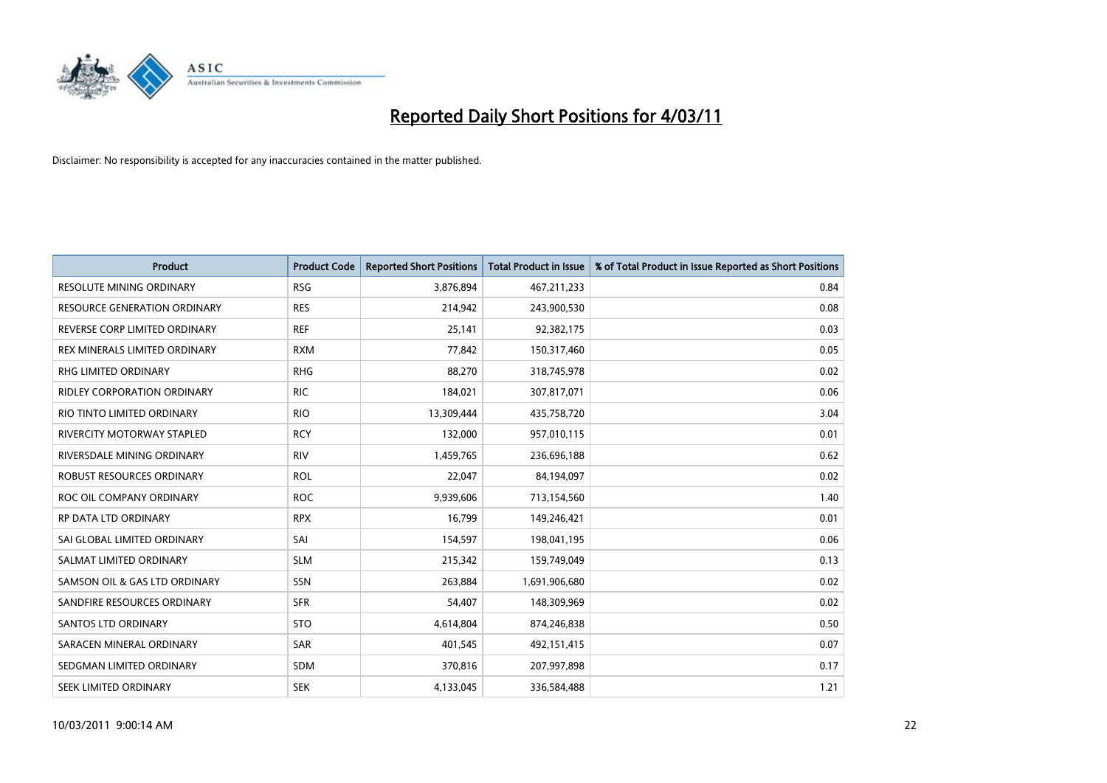

| <b>Product</b>                     | <b>Product Code</b> | <b>Reported Short Positions</b> | Total Product in Issue | % of Total Product in Issue Reported as Short Positions |
|------------------------------------|---------------------|---------------------------------|------------------------|---------------------------------------------------------|
| <b>RESOLUTE MINING ORDINARY</b>    | <b>RSG</b>          | 3,876,894                       | 467,211,233            | 0.84                                                    |
| RESOURCE GENERATION ORDINARY       | <b>RES</b>          | 214,942                         | 243,900,530            | 0.08                                                    |
| REVERSE CORP LIMITED ORDINARY      | <b>REF</b>          | 25,141                          | 92,382,175             | 0.03                                                    |
| REX MINERALS LIMITED ORDINARY      | <b>RXM</b>          | 77,842                          | 150,317,460            | 0.05                                                    |
| <b>RHG LIMITED ORDINARY</b>        | <b>RHG</b>          | 88,270                          | 318,745,978            | 0.02                                                    |
| <b>RIDLEY CORPORATION ORDINARY</b> | <b>RIC</b>          | 184,021                         | 307,817,071            | 0.06                                                    |
| RIO TINTO LIMITED ORDINARY         | <b>RIO</b>          | 13,309,444                      | 435,758,720            | 3.04                                                    |
| RIVERCITY MOTORWAY STAPLED         | <b>RCY</b>          | 132,000                         | 957,010,115            | 0.01                                                    |
| RIVERSDALE MINING ORDINARY         | <b>RIV</b>          | 1,459,765                       | 236,696,188            | 0.62                                                    |
| ROBUST RESOURCES ORDINARY          | <b>ROL</b>          | 22,047                          | 84,194,097             | 0.02                                                    |
| ROC OIL COMPANY ORDINARY           | <b>ROC</b>          | 9,939,606                       | 713,154,560            | 1.40                                                    |
| RP DATA LTD ORDINARY               | <b>RPX</b>          | 16,799                          | 149,246,421            | 0.01                                                    |
| SAI GLOBAL LIMITED ORDINARY        | SAI                 | 154,597                         | 198,041,195            | 0.06                                                    |
| SALMAT LIMITED ORDINARY            | <b>SLM</b>          | 215,342                         | 159,749,049            | 0.13                                                    |
| SAMSON OIL & GAS LTD ORDINARY      | SSN                 | 263,884                         | 1,691,906,680          | 0.02                                                    |
| SANDFIRE RESOURCES ORDINARY        | <b>SFR</b>          | 54,407                          | 148,309,969            | 0.02                                                    |
| <b>SANTOS LTD ORDINARY</b>         | <b>STO</b>          | 4,614,804                       | 874,246,838            | 0.50                                                    |
| SARACEN MINERAL ORDINARY           | <b>SAR</b>          | 401,545                         | 492,151,415            | 0.07                                                    |
| SEDGMAN LIMITED ORDINARY           | <b>SDM</b>          | 370,816                         | 207,997,898            | 0.17                                                    |
| SEEK LIMITED ORDINARY              | <b>SEK</b>          | 4,133,045                       | 336,584,488            | 1.21                                                    |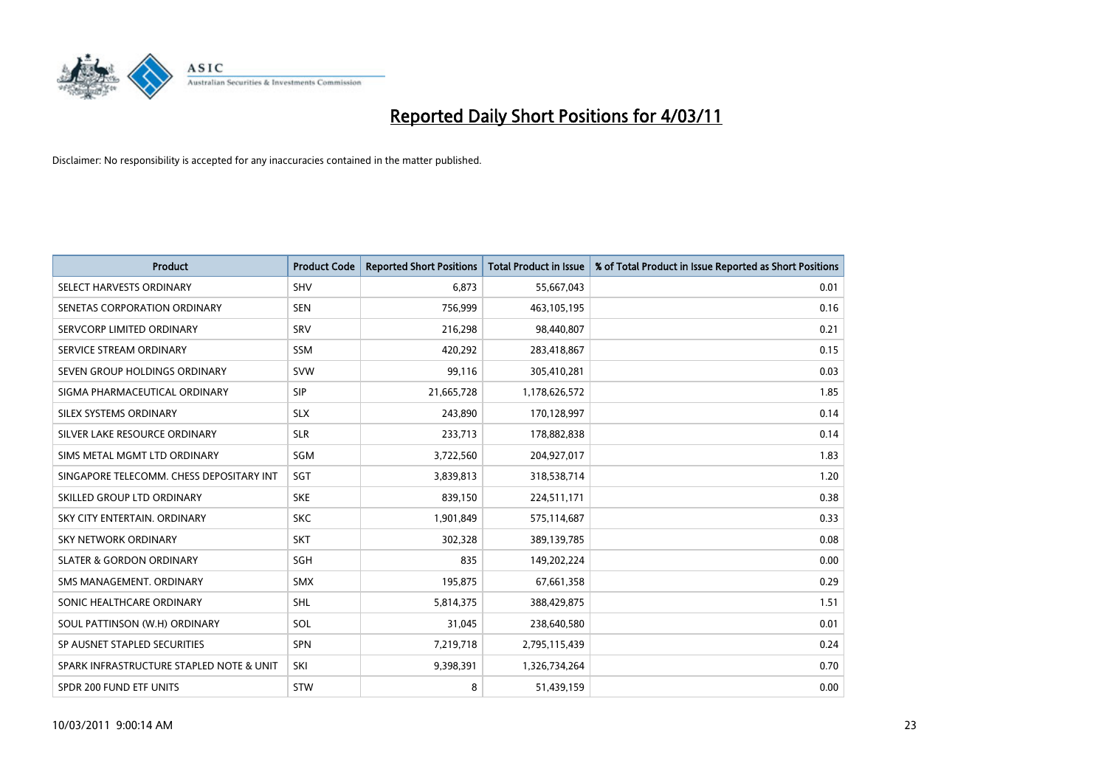

| <b>Product</b>                           | <b>Product Code</b> | <b>Reported Short Positions</b> | Total Product in Issue | % of Total Product in Issue Reported as Short Positions |
|------------------------------------------|---------------------|---------------------------------|------------------------|---------------------------------------------------------|
| SELECT HARVESTS ORDINARY                 | <b>SHV</b>          | 6,873                           | 55,667,043             | 0.01                                                    |
| SENETAS CORPORATION ORDINARY             | <b>SEN</b>          | 756,999                         | 463,105,195            | 0.16                                                    |
| SERVCORP LIMITED ORDINARY                | SRV                 | 216,298                         | 98,440,807             | 0.21                                                    |
| SERVICE STREAM ORDINARY                  | <b>SSM</b>          | 420,292                         | 283,418,867            | 0.15                                                    |
| SEVEN GROUP HOLDINGS ORDINARY            | <b>SVW</b>          | 99,116                          | 305,410,281            | 0.03                                                    |
| SIGMA PHARMACEUTICAL ORDINARY            | <b>SIP</b>          | 21,665,728                      | 1,178,626,572          | 1.85                                                    |
| SILEX SYSTEMS ORDINARY                   | <b>SLX</b>          | 243.890                         | 170,128,997            | 0.14                                                    |
| SILVER LAKE RESOURCE ORDINARY            | <b>SLR</b>          | 233,713                         | 178,882,838            | 0.14                                                    |
| SIMS METAL MGMT LTD ORDINARY             | SGM                 | 3,722,560                       | 204,927,017            | 1.83                                                    |
| SINGAPORE TELECOMM. CHESS DEPOSITARY INT | SGT                 | 3,839,813                       | 318,538,714            | 1.20                                                    |
| SKILLED GROUP LTD ORDINARY               | <b>SKE</b>          | 839,150                         | 224,511,171            | 0.38                                                    |
| SKY CITY ENTERTAIN, ORDINARY             | <b>SKC</b>          | 1,901,849                       | 575,114,687            | 0.33                                                    |
| <b>SKY NETWORK ORDINARY</b>              | SKT                 | 302,328                         | 389,139,785            | 0.08                                                    |
| <b>SLATER &amp; GORDON ORDINARY</b>      | SGH                 | 835                             | 149,202,224            | 0.00                                                    |
| SMS MANAGEMENT, ORDINARY                 | <b>SMX</b>          | 195,875                         | 67,661,358             | 0.29                                                    |
| SONIC HEALTHCARE ORDINARY                | <b>SHL</b>          | 5,814,375                       | 388,429,875            | 1.51                                                    |
| SOUL PATTINSON (W.H) ORDINARY            | SOL                 | 31,045                          | 238,640,580            | 0.01                                                    |
| SP AUSNET STAPLED SECURITIES             | <b>SPN</b>          | 7,219,718                       | 2,795,115,439          | 0.24                                                    |
| SPARK INFRASTRUCTURE STAPLED NOTE & UNIT | SKI                 | 9,398,391                       | 1,326,734,264          | 0.70                                                    |
| SPDR 200 FUND ETF UNITS                  | STW                 | 8                               | 51,439,159             | 0.00                                                    |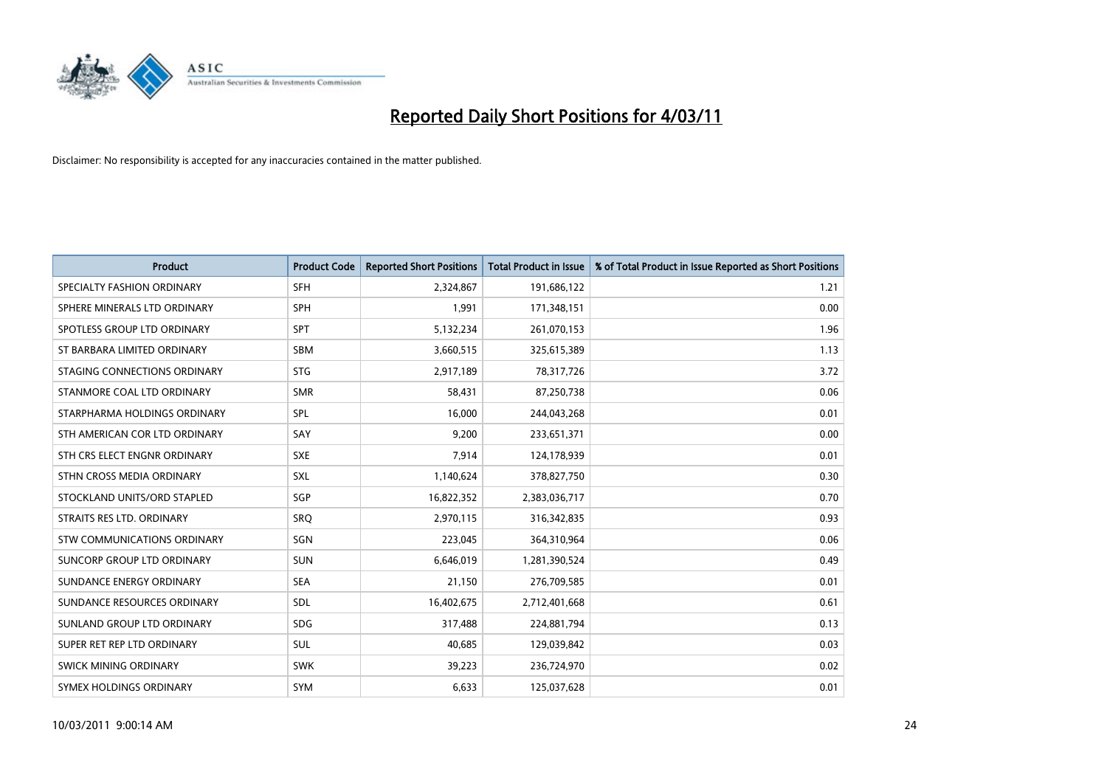

| <b>Product</b>                | <b>Product Code</b> | <b>Reported Short Positions</b> | <b>Total Product in Issue</b> | % of Total Product in Issue Reported as Short Positions |
|-------------------------------|---------------------|---------------------------------|-------------------------------|---------------------------------------------------------|
| SPECIALTY FASHION ORDINARY    | <b>SFH</b>          | 2,324,867                       | 191,686,122                   | 1.21                                                    |
| SPHERE MINERALS LTD ORDINARY  | SPH                 | 1,991                           | 171,348,151                   | 0.00                                                    |
| SPOTLESS GROUP LTD ORDINARY   | <b>SPT</b>          | 5,132,234                       | 261,070,153                   | 1.96                                                    |
| ST BARBARA LIMITED ORDINARY   | <b>SBM</b>          | 3,660,515                       | 325,615,389                   | 1.13                                                    |
| STAGING CONNECTIONS ORDINARY  | <b>STG</b>          | 2,917,189                       | 78,317,726                    | 3.72                                                    |
| STANMORE COAL LTD ORDINARY    | <b>SMR</b>          | 58,431                          | 87,250,738                    | 0.06                                                    |
| STARPHARMA HOLDINGS ORDINARY  | SPL                 | 16.000                          | 244,043,268                   | 0.01                                                    |
| STH AMERICAN COR LTD ORDINARY | SAY                 | 9,200                           | 233,651,371                   | 0.00                                                    |
| STH CRS ELECT ENGNR ORDINARY  | <b>SXE</b>          | 7,914                           | 124,178,939                   | 0.01                                                    |
| STHN CROSS MEDIA ORDINARY     | <b>SXL</b>          | 1,140,624                       | 378,827,750                   | 0.30                                                    |
| STOCKLAND UNITS/ORD STAPLED   | SGP                 | 16,822,352                      | 2,383,036,717                 | 0.70                                                    |
| STRAITS RES LTD. ORDINARY     | SRO                 | 2,970,115                       | 316, 342, 835                 | 0.93                                                    |
| STW COMMUNICATIONS ORDINARY   | SGN                 | 223,045                         | 364,310,964                   | 0.06                                                    |
| SUNCORP GROUP LTD ORDINARY    | <b>SUN</b>          | 6,646,019                       | 1,281,390,524                 | 0.49                                                    |
| SUNDANCE ENERGY ORDINARY      | <b>SEA</b>          | 21,150                          | 276,709,585                   | 0.01                                                    |
| SUNDANCE RESOURCES ORDINARY   | SDL                 | 16,402,675                      | 2,712,401,668                 | 0.61                                                    |
| SUNLAND GROUP LTD ORDINARY    | <b>SDG</b>          | 317,488                         | 224,881,794                   | 0.13                                                    |
| SUPER RET REP LTD ORDINARY    | <b>SUL</b>          | 40,685                          | 129,039,842                   | 0.03                                                    |
| SWICK MINING ORDINARY         | <b>SWK</b>          | 39,223                          | 236,724,970                   | 0.02                                                    |
| SYMEX HOLDINGS ORDINARY       | <b>SYM</b>          | 6,633                           | 125,037,628                   | 0.01                                                    |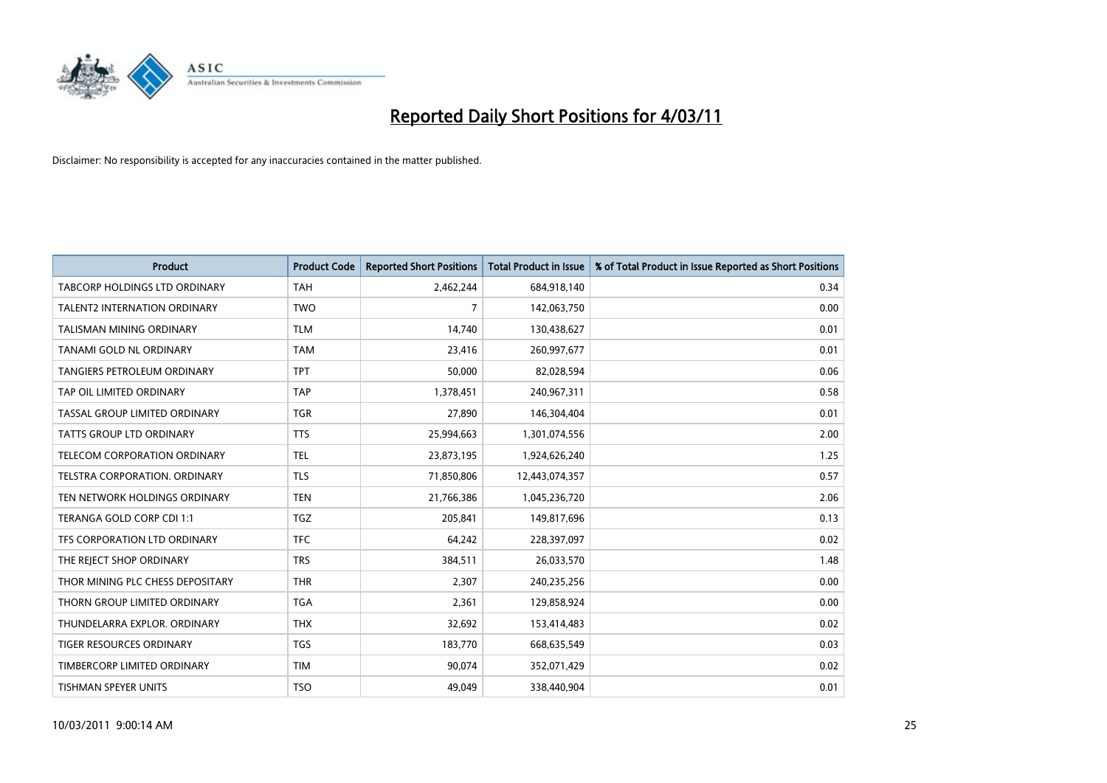

| <b>Product</b>                       | <b>Product Code</b> | <b>Reported Short Positions</b> | Total Product in Issue | % of Total Product in Issue Reported as Short Positions |
|--------------------------------------|---------------------|---------------------------------|------------------------|---------------------------------------------------------|
| <b>TABCORP HOLDINGS LTD ORDINARY</b> | <b>TAH</b>          | 2,462,244                       | 684,918,140            | 0.34                                                    |
| TALENT2 INTERNATION ORDINARY         | <b>TWO</b>          | 7                               | 142,063,750            | 0.00                                                    |
| TALISMAN MINING ORDINARY             | <b>TLM</b>          | 14.740                          | 130,438,627            | 0.01                                                    |
| TANAMI GOLD NL ORDINARY              | <b>TAM</b>          | 23,416                          | 260,997,677            | 0.01                                                    |
| <b>TANGIERS PETROLEUM ORDINARY</b>   | <b>TPT</b>          | 50,000                          | 82,028,594             | 0.06                                                    |
| TAP OIL LIMITED ORDINARY             | <b>TAP</b>          | 1,378,451                       | 240,967,311            | 0.58                                                    |
| TASSAL GROUP LIMITED ORDINARY        | <b>TGR</b>          | 27,890                          | 146,304,404            | 0.01                                                    |
| TATTS GROUP LTD ORDINARY             | <b>TTS</b>          | 25,994,663                      | 1,301,074,556          | 2.00                                                    |
| TELECOM CORPORATION ORDINARY         | <b>TEL</b>          | 23,873,195                      | 1,924,626,240          | 1.25                                                    |
| TELSTRA CORPORATION, ORDINARY        | <b>TLS</b>          | 71,850,806                      | 12,443,074,357         | 0.57                                                    |
| TEN NETWORK HOLDINGS ORDINARY        | <b>TEN</b>          | 21,766,386                      | 1,045,236,720          | 2.06                                                    |
| TERANGA GOLD CORP CDI 1:1            | TGZ                 | 205,841                         | 149,817,696            | 0.13                                                    |
| TFS CORPORATION LTD ORDINARY         | <b>TFC</b>          | 64,242                          | 228,397,097            | 0.02                                                    |
| THE REJECT SHOP ORDINARY             | <b>TRS</b>          | 384,511                         | 26,033,570             | 1.48                                                    |
| THOR MINING PLC CHESS DEPOSITARY     | <b>THR</b>          | 2,307                           | 240,235,256            | 0.00                                                    |
| THORN GROUP LIMITED ORDINARY         | <b>TGA</b>          | 2.361                           | 129,858,924            | 0.00                                                    |
| THUNDELARRA EXPLOR. ORDINARY         | <b>THX</b>          | 32,692                          | 153,414,483            | 0.02                                                    |
| TIGER RESOURCES ORDINARY             | <b>TGS</b>          | 183,770                         | 668,635,549            | 0.03                                                    |
| TIMBERCORP LIMITED ORDINARY          | <b>TIM</b>          | 90,074                          | 352,071,429            | 0.02                                                    |
| TISHMAN SPEYER UNITS                 | <b>TSO</b>          | 49,049                          | 338,440,904            | 0.01                                                    |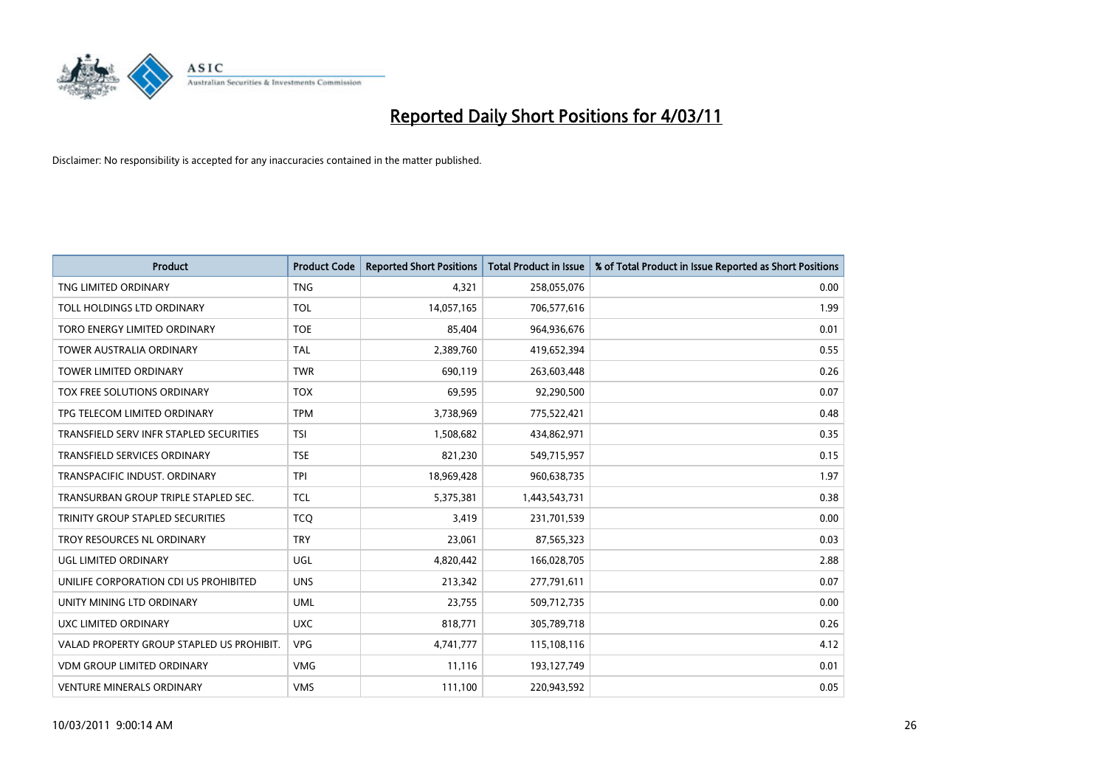

| <b>Product</b>                            | <b>Product Code</b> | <b>Reported Short Positions</b> | Total Product in Issue | % of Total Product in Issue Reported as Short Positions |
|-------------------------------------------|---------------------|---------------------------------|------------------------|---------------------------------------------------------|
| TNG LIMITED ORDINARY                      | <b>TNG</b>          | 4,321                           | 258,055,076            | 0.00                                                    |
| TOLL HOLDINGS LTD ORDINARY                | <b>TOL</b>          | 14,057,165                      | 706,577,616            | 1.99                                                    |
| TORO ENERGY LIMITED ORDINARY              | <b>TOE</b>          | 85,404                          | 964,936,676            | 0.01                                                    |
| TOWER AUSTRALIA ORDINARY                  | <b>TAL</b>          | 2,389,760                       | 419,652,394            | 0.55                                                    |
| <b>TOWER LIMITED ORDINARY</b>             | <b>TWR</b>          | 690.119                         | 263,603,448            | 0.26                                                    |
| TOX FREE SOLUTIONS ORDINARY               | <b>TOX</b>          | 69,595                          | 92,290,500             | 0.07                                                    |
| TPG TELECOM LIMITED ORDINARY              | <b>TPM</b>          | 3,738,969                       | 775,522,421            | 0.48                                                    |
| TRANSFIELD SERV INFR STAPLED SECURITIES   | <b>TSI</b>          | 1,508,682                       | 434,862,971            | 0.35                                                    |
| TRANSFIELD SERVICES ORDINARY              | <b>TSE</b>          | 821,230                         | 549,715,957            | 0.15                                                    |
| TRANSPACIFIC INDUST, ORDINARY             | <b>TPI</b>          | 18,969,428                      | 960,638,735            | 1.97                                                    |
| TRANSURBAN GROUP TRIPLE STAPLED SEC.      | <b>TCL</b>          | 5,375,381                       | 1,443,543,731          | 0.38                                                    |
| TRINITY GROUP STAPLED SECURITIES          | <b>TCQ</b>          | 3,419                           | 231,701,539            | 0.00                                                    |
| TROY RESOURCES NL ORDINARY                | <b>TRY</b>          | 23.061                          | 87,565,323             | 0.03                                                    |
| UGL LIMITED ORDINARY                      | UGL                 | 4,820,442                       | 166,028,705            | 2.88                                                    |
| UNILIFE CORPORATION CDI US PROHIBITED     | <b>UNS</b>          | 213,342                         | 277,791,611            | 0.07                                                    |
| UNITY MINING LTD ORDINARY                 | <b>UML</b>          | 23,755                          | 509,712,735            | 0.00                                                    |
| UXC LIMITED ORDINARY                      | <b>UXC</b>          | 818,771                         | 305,789,718            | 0.26                                                    |
| VALAD PROPERTY GROUP STAPLED US PROHIBIT. | <b>VPG</b>          | 4,741,777                       | 115,108,116            | 4.12                                                    |
| <b>VDM GROUP LIMITED ORDINARY</b>         | <b>VMG</b>          | 11,116                          | 193,127,749            | 0.01                                                    |
| <b>VENTURE MINERALS ORDINARY</b>          | <b>VMS</b>          | 111,100                         | 220.943.592            | 0.05                                                    |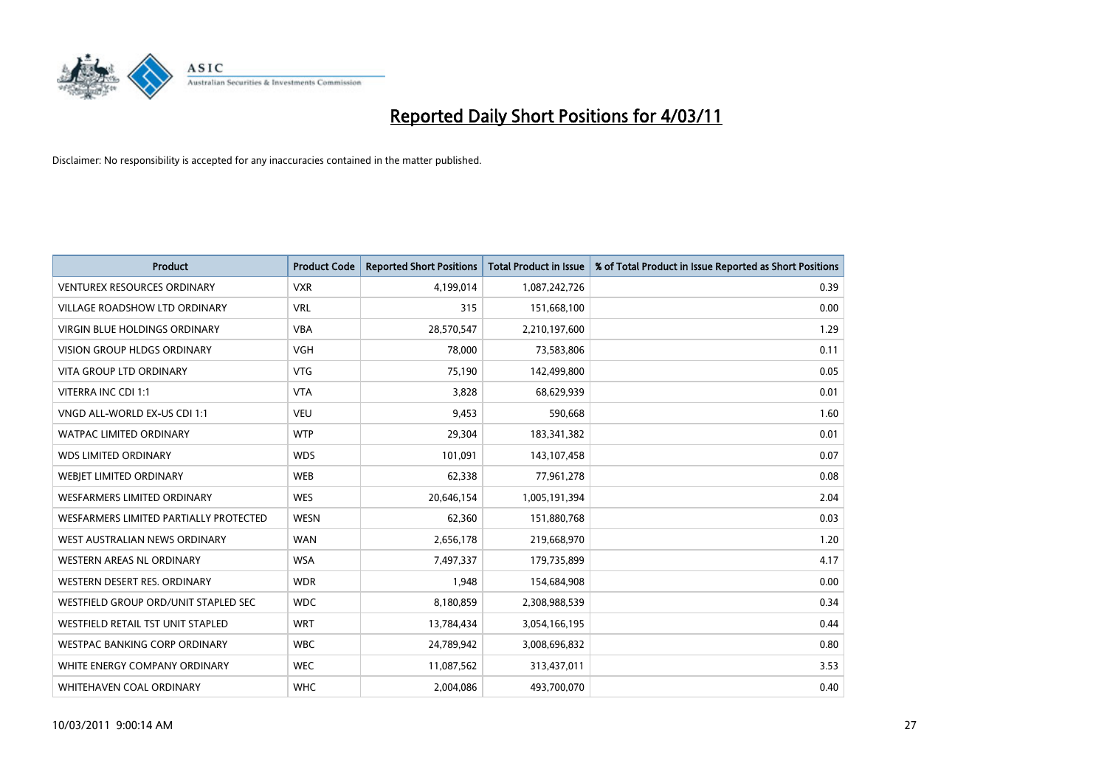

| Product                                | <b>Product Code</b> | <b>Reported Short Positions</b> | <b>Total Product in Issue</b> | % of Total Product in Issue Reported as Short Positions |
|----------------------------------------|---------------------|---------------------------------|-------------------------------|---------------------------------------------------------|
| <b>VENTUREX RESOURCES ORDINARY</b>     | <b>VXR</b>          | 4,199,014                       | 1,087,242,726                 | 0.39                                                    |
| VILLAGE ROADSHOW LTD ORDINARY          | <b>VRL</b>          | 315                             | 151,668,100                   | 0.00                                                    |
| <b>VIRGIN BLUE HOLDINGS ORDINARY</b>   | <b>VBA</b>          | 28,570,547                      | 2,210,197,600                 | 1.29                                                    |
| VISION GROUP HLDGS ORDINARY            | <b>VGH</b>          | 78,000                          | 73,583,806                    | 0.11                                                    |
| <b>VITA GROUP LTD ORDINARY</b>         | <b>VTG</b>          | 75,190                          | 142,499,800                   | 0.05                                                    |
| VITERRA INC CDI 1:1                    | <b>VTA</b>          | 3,828                           | 68,629,939                    | 0.01                                                    |
| VNGD ALL-WORLD EX-US CDI 1:1           | <b>VEU</b>          | 9,453                           | 590,668                       | 1.60                                                    |
| <b>WATPAC LIMITED ORDINARY</b>         | <b>WTP</b>          | 29,304                          | 183,341,382                   | 0.01                                                    |
| <b>WDS LIMITED ORDINARY</b>            | <b>WDS</b>          | 101,091                         | 143,107,458                   | 0.07                                                    |
| WEBJET LIMITED ORDINARY                | <b>WEB</b>          | 62,338                          | 77,961,278                    | 0.08                                                    |
| <b>WESFARMERS LIMITED ORDINARY</b>     | <b>WES</b>          | 20,646,154                      | 1,005,191,394                 | 2.04                                                    |
| WESFARMERS LIMITED PARTIALLY PROTECTED | <b>WESN</b>         | 62,360                          | 151,880,768                   | 0.03                                                    |
| WEST AUSTRALIAN NEWS ORDINARY          | <b>WAN</b>          | 2,656,178                       | 219,668,970                   | 1.20                                                    |
| <b>WESTERN AREAS NL ORDINARY</b>       | <b>WSA</b>          | 7,497,337                       | 179,735,899                   | 4.17                                                    |
| WESTERN DESERT RES. ORDINARY           | <b>WDR</b>          | 1,948                           | 154,684,908                   | 0.00                                                    |
| WESTFIELD GROUP ORD/UNIT STAPLED SEC   | <b>WDC</b>          | 8,180,859                       | 2,308,988,539                 | 0.34                                                    |
| WESTFIELD RETAIL TST UNIT STAPLED      | <b>WRT</b>          | 13,784,434                      | 3,054,166,195                 | 0.44                                                    |
| WESTPAC BANKING CORP ORDINARY          | <b>WBC</b>          | 24,789,942                      | 3,008,696,832                 | 0.80                                                    |
| WHITE ENERGY COMPANY ORDINARY          | <b>WEC</b>          | 11,087,562                      | 313,437,011                   | 3.53                                                    |
| WHITEHAVEN COAL ORDINARY               | <b>WHC</b>          | 2,004,086                       | 493,700,070                   | 0.40                                                    |